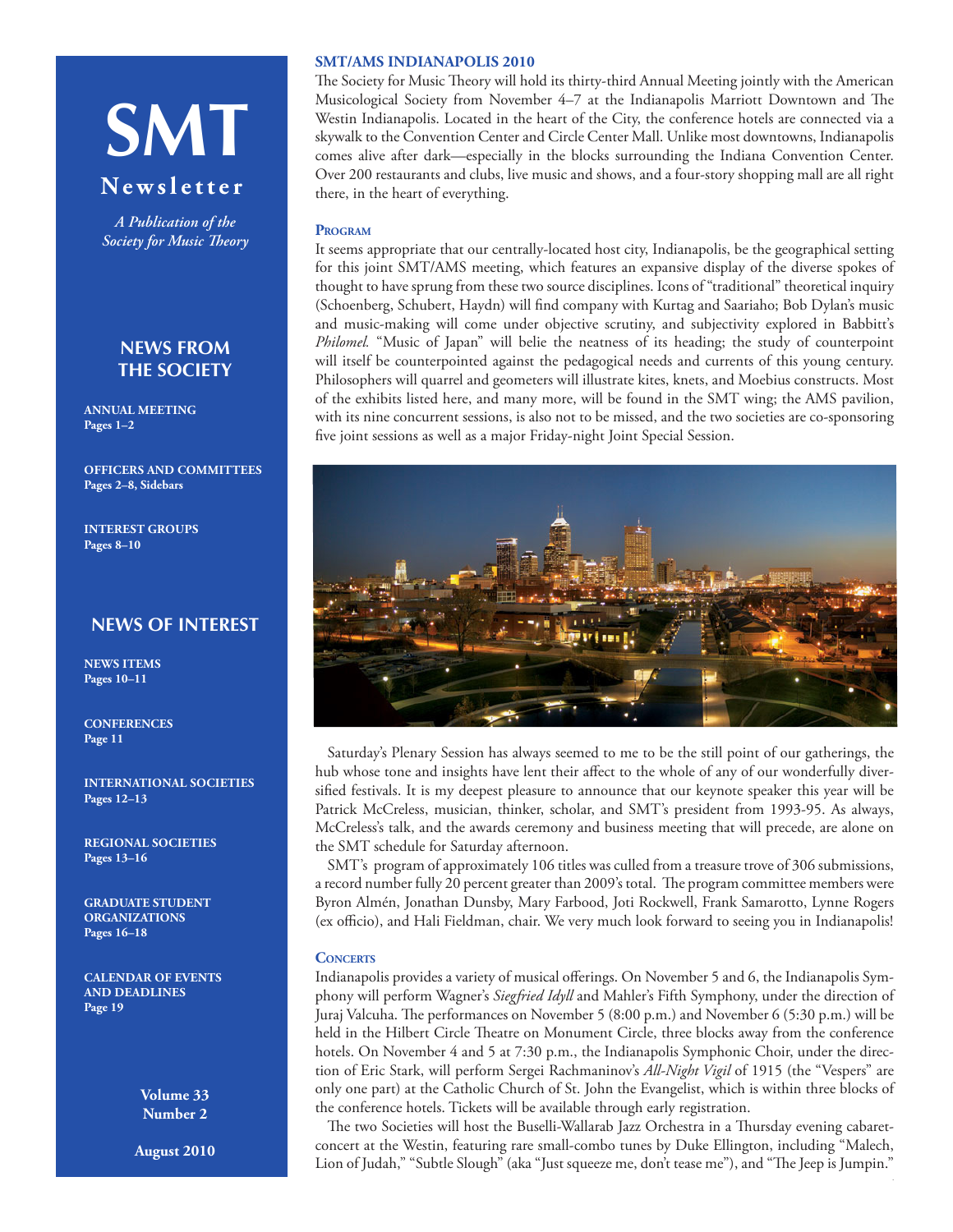# **SMT**

# **Newsletter**

*A Publication of the Society for Music Theory*

# **NEWS FROM THE SOCIETY**

**ANNUAL MEETING Pages 1–2**

**[OFFICERS AND COMMITTEES](#page-1-0) Pages 2–8, Sidebars**

**[INTEREST GROUPS](#page-7-0) Pages 8–10**

# **NEWS OF INTEREST**

**NEWS ITEMS Pages 10–11**

**[CONFERENCES](#page-10-0) Page 11**

**[INTERNATIONAL SOCIETIES](#page-11-0) Pages 12–13**

**[REGIONAL SOCIETIES](#page-12-0) Pages 13–16**

**[GRADUATE STUDENT](#page-15-0) [ORGANIZATIONS](#page-15-0) Pages 16–18**

**[CALENDAR OF EVENTS](#page-18-0) [AND DEADLINES](#page-18-0) Page 19**

> **Volume 33 Number 2**

**August 2010**

## **SMT/AMS INDIANAPOLIS 2010**

The Society for Music Theory will hold its thirty-third Annual Meeting jointly with the American Musicological Society from November 4–7 at the Indianapolis Marriott Downtown and The Westin Indianapolis. Located in the heart of the City, the conference hotels are connected via a skywalk to the Convention Center and Circle Center Mall. Unlike most downtowns, Indianapolis comes alive after dark—especially in the blocks surrounding the Indiana Convention Center. Over 200 restaurants and clubs, live music and shows, and a four-story shopping mall are all right there, in the heart of everything.

#### **Program**

It seems appropriate that our centrally-located host city, Indianapolis, be the geographical setting for this joint SMT/AMS meeting, which features an expansive display of the diverse spokes of thought to have sprung from these two source disciplines. Icons of "traditional" theoretical inquiry (Schoenberg, Schubert, Haydn) will find company with Kurtag and Saariaho; Bob Dylan's music and music-making will come under objective scrutiny, and subjectivity explored in Babbitt's *Philomel.* "Music of Japan" will belie the neatness of its heading; the study of counterpoint will itself be counterpointed against the pedagogical needs and currents of this young century. Philosophers will quarrel and geometers will illustrate kites, knets, and Moebius constructs. Most of the exhibits listed here, and many more, will be found in the SMT wing; the AMS pavilion, with its nine concurrent sessions, is also not to be missed, and the two societies are co-sponsoring five joint sessions as well as a major Friday-night Joint Special Session.



Saturday's Plenary Session has always seemed to me to be the still point of our gatherings, the hub whose tone and insights have lent their affect to the whole of any of our wonderfully diversified festivals. It is my deepest pleasure to announce that our keynote speaker this year will be Patrick McCreless, musician, thinker, scholar, and SMT's president from 1993-95. As always, McCreless's talk, and the awards ceremony and business meeting that will precede, are alone on the SMT schedule for Saturday afternoon.

SMT's program of approximately 106 titles was culled from a treasure trove of 306 submissions, a record number fully 20 percent greater than 2009's total. The program committee members were Byron Almén, Jonathan Dunsby, Mary Farbood, Joti Rockwell, Frank Samarotto, Lynne Rogers (ex officio), and Hali Fieldman, chair. We very much look forward to seeing you in Indianapolis!

## **Concerts**

Indianapolis provides a variety of musical offerings. On November 5 and 6, the Indianapolis Symphony will perform Wagner's *Siegfried Idyll* and Mahler's Fifth Symphony, under the direction of Juraj Valcuha. The performances on November 5 (8:00 p.m.) and November 6 (5:30 p.m.) will be held in the Hilbert Circle Theatre on Monument Circle, three blocks away from the conference hotels. On November 4 and 5 at 7:30 p.m., the Indianapolis Symphonic Choir, under the direction of Eric Stark, will perform Sergei Rachmaninov's *All-Night Vigil* of 1915 (the "Vespers" are only one part) at the Catholic Church of St. John the Evangelist, which is within three blocks of the conference hotels. Tickets will be available through early registration.

The two Societies will host the Buselli-Wallarab Jazz Orchestra in a Thursday evening cabaretconcert at the Westin, featuring rare small-combo tunes by Duke Ellington, including "Malech, Lion of Judah," "Subtle Slough" (aka "Just squeeze me, don't tease me"), and "The Jeep is Jumpin."

1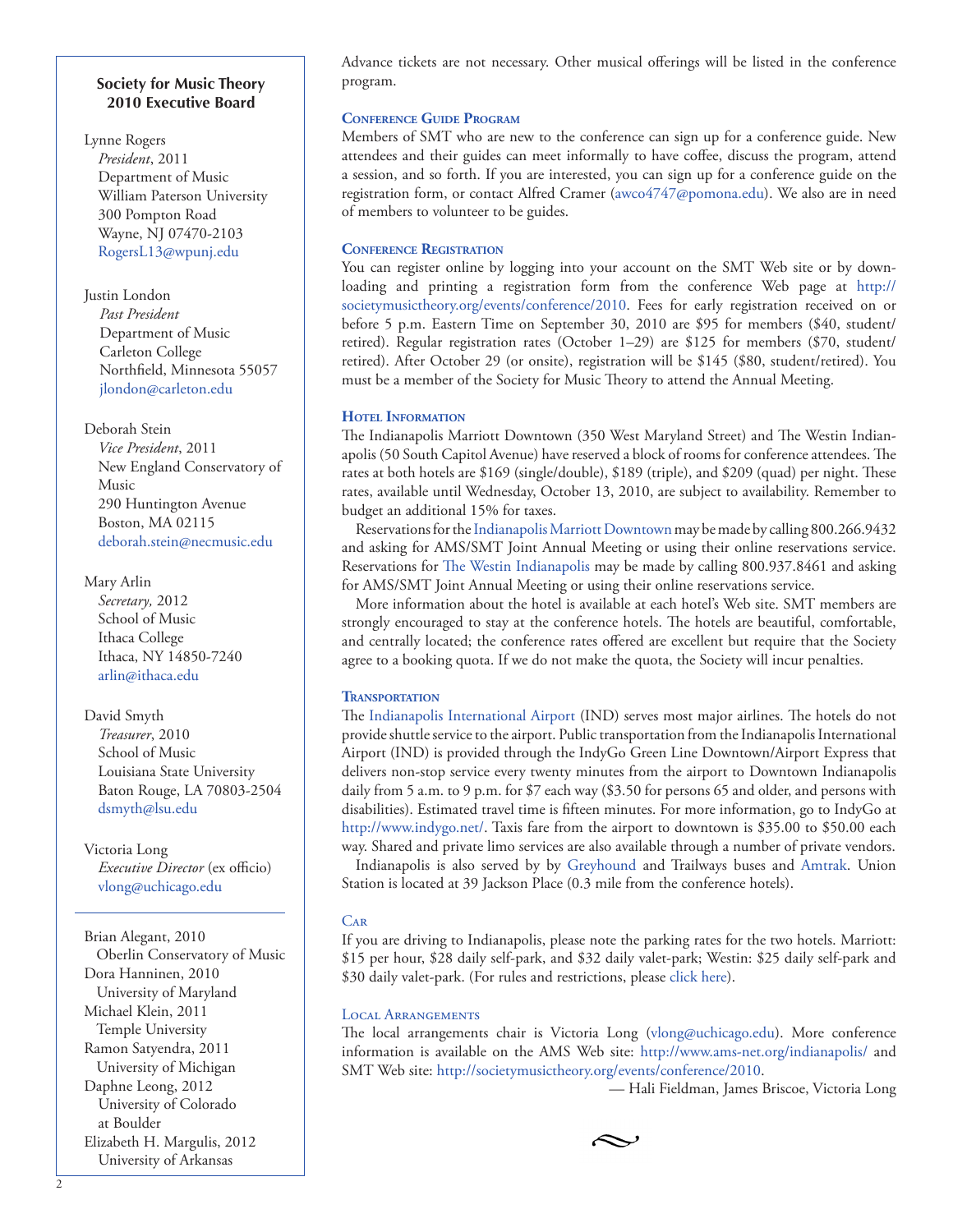#### <span id="page-1-0"></span>**Society for Music Theory 2010 Executive Board**

Lynne Rogers *President*, 2011 Department of Music William Paterson University 300 Pompton Road Wayne, NJ 07470-2103 [RogersL13@wpunj.edu](mailto:RogersL13@wpunj.edu)

Justin London *Past President* Department of Music Carleton College Northfield, Minnesota 55057 [jlondon@carleton.edu](mailto:jlondon@carleton.edu)

Deborah Stein

*Vice President*, 2011 New England Conservatory of Music 290 Huntington Avenue Boston, MA 02115 [deborah.stein@necmusic.edu](mailto:deborah.stein@necmusic.edu)

Mary Arlin

*Secretary,* 2012 School of Music Ithaca College Ithaca, NY 14850-7240 [arlin@ithaca.edu](mailto:arlin@ithaca.edu)

David Smyth *Treasurer*, 2010 School of Music Louisiana State University Baton Rouge, LA 70803-2504 [dsmyth@lsu.edu](mailto:dsmyth@lsu.edu)

Victoria Long *Executive Director* (ex officio) [vlong@uchicago.edu](mailto:vlong@uchicago.edu)

Brian Alegant, 2010 Oberlin Conservatory of Music Dora Hanninen, 2010 University of Maryland Michael Klein, 2011 Temple University Ramon Satyendra, 2011 University of Michigan Daphne Leong, 2012 University of Colorado at Boulder Elizabeth H. Margulis, 2012 University of Arkansas

Advance tickets are not necessary. Other musical offerings will be listed in the conference program.

#### **Conference Guide Program**

Members of SMT who are new to the conference can sign up for a conference guide. New attendees and their guides can meet informally to have coffee, discuss the program, attend a session, and so forth. If you are interested, you can sign up for a conference guide on the registration form, or contact Alfred Cramer [\(awco4747@pomona.edu](mailto:awco4747@pomona.edu)). We also are in need of members to volunteer to be guides.

## **Conference Registration**

You can register online by logging into your account on the SMT Web site or by downloading and printing a registration form from the conference Web page at [http://](http://societymusictheory.org/events/conference/2010) [societymusictheory.org/events/conference/2010.](http://societymusictheory.org/events/conference/2010) Fees for early registration received on or before 5 p.m. Eastern Time on September 30, 2010 are \$95 for members (\$40, student/ retired). Regular registration rates (October 1–29) are \$125 for members (\$70, student/ retired). After October 29 (or onsite), registration will be \$145 (\$80, student/retired). You must be a member of the Society for Music Theory to attend the Annual Meeting.

## **Hotel Information**

The Indianapolis Marriott Downtown (350 West Maryland Street) and The Westin Indianapolis (50 South Capitol Avenue) have reserved a block of rooms for conference attendees. The rates at both hotels are \$169 (single/double), \$189 (triple), and \$209 (quad) per night. These rates, available until Wednesday, October 13, 2010, are subject to availability. Remember to budget an additional 15% for taxes.

Reservations for the [Indianapolis Marriott Downtown](https://resweb.passkey.com/Resweb.do?mode=welcome_ei_new&eventID=2503630) may be made by calling 800.266.9432 and asking for AMS/SMT Joint Annual Meeting or using their online reservations service. Reservations for [The Westin Indianapolis](http://www.starwoodmeeting.com/StarGroupsWeb/booking/reservation?id=1003237168&key=E74FC) may be made by calling 800.937.8461 and asking for AMS/SMT Joint Annual Meeting or using their online reservations service.

More information about the hotel is available at each hotel's Web site. SMT members are strongly encouraged to stay at the conference hotels. The hotels are beautiful, comfortable, and centrally located; the conference rates offered are excellent but require that the Society agree to a booking quota. If we do not make the quota, the Society will incur penalties.

## **Transportation**

The [Indianapolis International Airport](http://www.indianapolisairport.com/) (IND) serves most major airlines. The hotels do not provide shuttle service to the airport. Public transportation from the Indianapolis International Airport (IND) is provided through the IndyGo Green Line Downtown/Airport Express that delivers non-stop service every twenty minutes from the airport to Downtown Indianapolis daily from 5 a.m. to 9 p.m. for \$7 each way (\$3.50 for persons 65 and older, and persons with disabilities). Estimated travel time is fifteen minutes. For more information, go to IndyGo at [http://www.indygo.net/](http://www.indygo.net). Taxis fare from the airport to downtown is \$35.00 to \$50.00 each way. Shared and private limo services are also available through a number of private vendors.

Indianapolis is also served by by [Greyhound](http://www.greyhound.com/home/) and Trailways buses and [Amtrak](http://www.amtrak.com/servlet/ContentServer?pagename=Amtrak/HomePage). Union Station is located at 39 Jackson Place (0.3 mile from the conference hotels).

## **CAR**

If you are driving to Indianapolis, please note the parking rates for the two hotels. Marriott: \$15 per hour, \$28 daily self-park, and \$32 daily valet-park; Westin: \$25 daily self-park and \$30 daily valet-park. (For rules and restrictions, please [click here](http://www.starwoodhotels.com/westin/property/overview/announcements.html?propertyID=1033#conditions)).

#### Local Arrangements

The local arrangements chair is Victoria Long (vlong@uchicago.edu). More conference information is available on the AMS Web site: [http://www.ams-net.org/indianapolis/ and](http://www.ams-net.org/indianapolis/) [SMT Web site:](http://www.ams-net.org/indianapolis/) <http://societymusictheory.org/events/conference/2010>.

— Hali Fieldman, James Briscoe, Victoria Long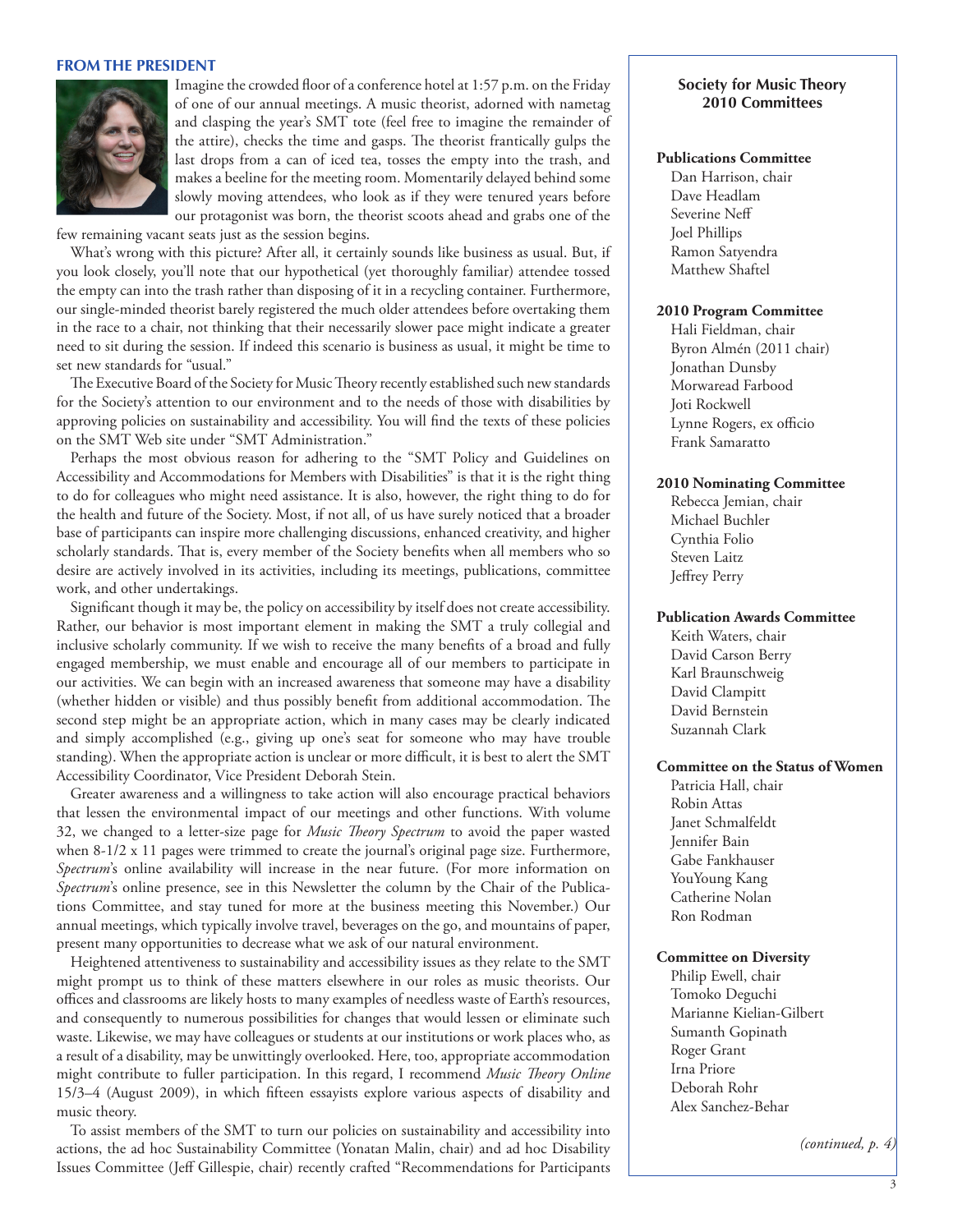#### **FROM THE PRESIDENT**



Imagine the crowded floor of a conference hotel at 1:57 p.m. on the Friday of one of our annual meetings. A music theorist, adorned with nametag and clasping the year's SMT tote (feel free to imagine the remainder of the attire), checks the time and gasps. The theorist frantically gulps the last drops from a can of iced tea, tosses the empty into the trash, and makes a beeline for the meeting room. Momentarily delayed behind some slowly moving attendees, who look as if they were tenured years before our protagonist was born, the theorist scoots ahead and grabs one of the

few remaining vacant seats just as the session begins.

What's wrong with this picture? After all, it certainly sounds like business as usual. But, if you look closely, you'll note that our hypothetical (yet thoroughly familiar) attendee tossed the empty can into the trash rather than disposing of it in a recycling container. Furthermore, our single-minded theorist barely registered the much older attendees before overtaking them in the race to a chair, not thinking that their necessarily slower pace might indicate a greater need to sit during the session. If indeed this scenario is business as usual, it might be time to set new standards for "usual."

The Executive Board of the Society for Music Theory recently established such new standards for the Society's attention to our environment and to the needs of those with disabilities by approving policies on sustainability and accessibility. You will find the texts of these policies on the SMT Web site under "SMT Administration."

Perhaps the most obvious reason for adhering to the "SMT Policy and Guidelines on Accessibility and Accommodations for Members with Disabilities" is that it is the right thing to do for colleagues who might need assistance. It is also, however, the right thing to do for the health and future of the Society. Most, if not all, of us have surely noticed that a broader base of participants can inspire more challenging discussions, enhanced creativity, and higher scholarly standards. That is, every member of the Society benefits when all members who so desire are actively involved in its activities, including its meetings, publications, committee work, and other undertakings.

Significant though it may be, the policy on accessibility by itself does not create accessibility. Rather, our behavior is most important element in making the SMT a truly collegial and inclusive scholarly community. If we wish to receive the many benefits of a broad and fully engaged membership, we must enable and encourage all of our members to participate in our activities. We can begin with an increased awareness that someone may have a disability (whether hidden or visible) and thus possibly benefit from additional accommodation. The second step might be an appropriate action, which in many cases may be clearly indicated and simply accomplished (e.g., giving up one's seat for someone who may have trouble standing). When the appropriate action is unclear or more difficult, it is best to alert the SMT Accessibility Coordinator, Vice President Deborah Stein.

Greater awareness and a willingness to take action will also encourage practical behaviors that lessen the environmental impact of our meetings and other functions. With volume 32, we changed to a letter-size page for *Music Theory Spectrum* to avoid the paper wasted when 8-1/2 x 11 pages were trimmed to create the journal's original page size. Furthermore, *Spectrum*'s online availability will increase in the near future. (For more information on *Spectrum*'s online presence, see in this Newsletter the column by the Chair of the Publications Committee, and stay tuned for more at the business meeting this November.) Our annual meetings, which typically involve travel, beverages on the go, and mountains of paper, present many opportunities to decrease what we ask of our natural environment.

Heightened attentiveness to sustainability and accessibility issues as they relate to the SMT might prompt us to think of these matters elsewhere in our roles as music theorists. Our offices and classrooms are likely hosts to many examples of needless waste of Earth's resources, and consequently to numerous possibilities for changes that would lessen or eliminate such waste. Likewise, we may have colleagues or students at our institutions or work places who, as a result of a disability, may be unwittingly overlooked. Here, too, appropriate accommodation might contribute to fuller participation. In this regard, I recommend *Music Theory Online* 15/3–4 (August 2009), in which fifteen essayists explore various aspects of disability and music theory.

To assist members of the SMT to turn our policies on sustainability and accessibility into actions, the ad hoc Sustainability Committee (Yonatan Malin, chair) and ad hoc Disability Issues Committee (Jeff Gillespie, chair) recently crafted "Recommendations for Participants

#### **Society for Music Theory 2010 Committees**

#### **Publications Committee**

Dan Harrison, chair Dave Headlam Severine Neff Joel Phillips Ramon Satyendra Matthew Shaftel

#### **2010 Program Committee**

Hali Fieldman, chair Byron Almén (2011 chair) Jonathan Dunsby Morwaread Farbood Joti Rockwell Lynne Rogers, ex officio Frank Samaratto

#### **2010 Nominating Committee**

Rebecca Jemian, chair Michael Buchler Cynthia Folio Steven Laitz Jeffrey Perry

#### **Publication Awards Committee**

Keith Waters, chair David Carson Berry Karl Braunschweig David Clampitt David Bernstein Suzannah Clark

#### **Committee on the Status of Women**

Patricia Hall, chair Robin Attas Janet Schmalfeldt Jennifer Bain Gabe Fankhauser YouYoung Kang Catherine Nolan Ron Rodman

#### **Committee on Diversity**

Philip Ewell, chair Tomoko Deguchi Marianne Kielian-Gilbert Sumanth Gopinath Roger Grant Irna Priore Deborah Rohr Alex Sanchez-Behar

*(continued, p. 4)*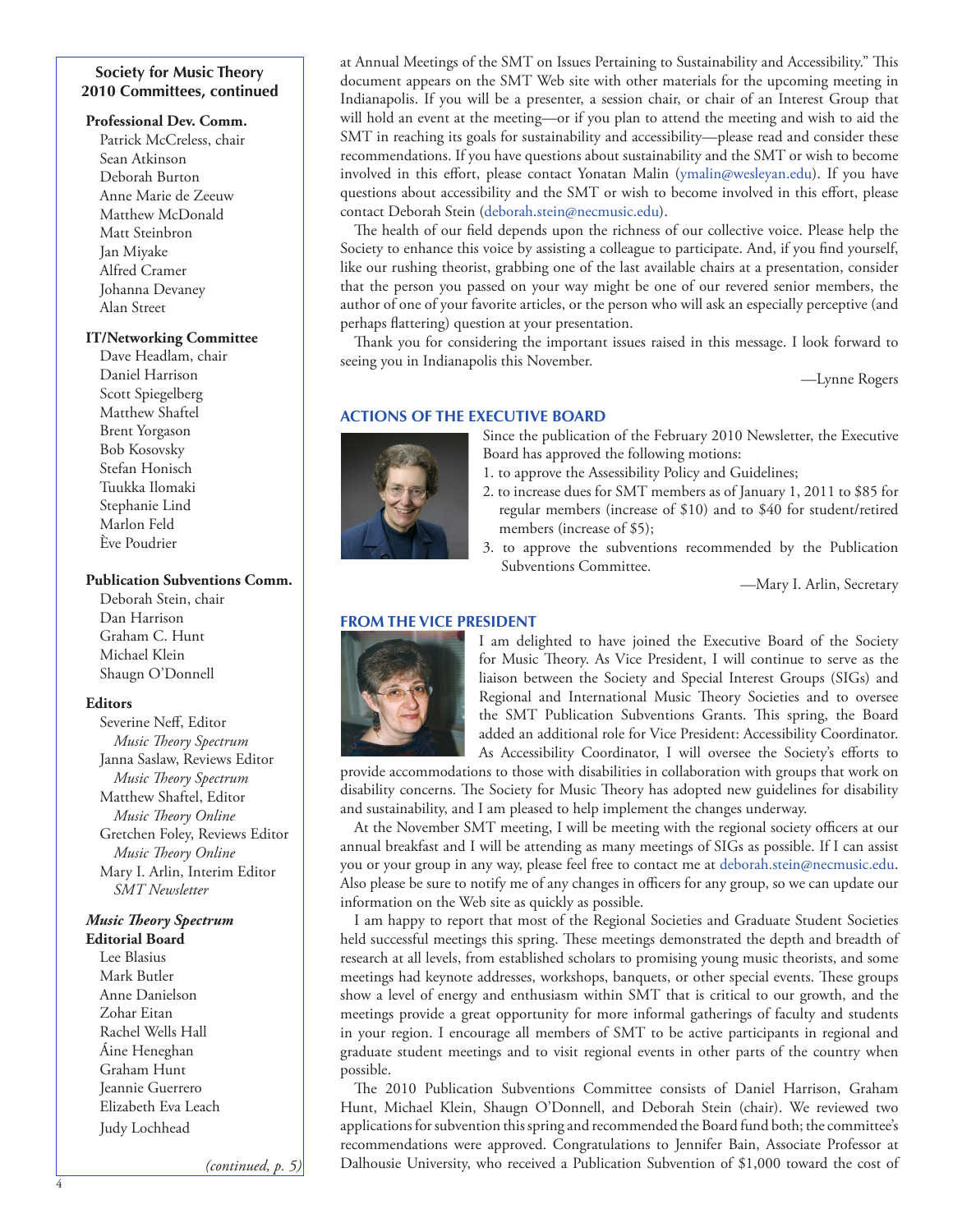## **Society for Music Theory 2010 Committees, continued**

#### **Professional Dev. Comm.**

Patrick McCreless, chair Sean Atkinson Deborah Burton Anne Marie de Zeeuw Matthew McDonald Matt Steinbron Jan Miyake Alfred Cramer Johanna Devaney Alan Street

## **IT/Networking Committee**

Dave Headlam, chair Daniel Harrison Scott Spiegelberg Matthew Shaftel Brent Yorgason Bob Kosovsky Stefan Honisch Tuukka Ilomaki Stephanie Lind Marlon Feld Ève Poudrier

#### **Publication Subventions Comm.**

Deborah Stein, chair Dan Harrison Graham C. Hunt Michael Klein Shaugn O'Donnell

#### **Editors**

Severine Neff, Editor *Music Theory Spectrum* Janna Saslaw, Reviews Editor *Music Theory Spectrum* Matthew Shaftel, Editor *Music Theory Online* Gretchen Foley, Reviews Editor *Music Theory Online* Mary I. Arlin, Interim Editor *SMT Newsletter*

# *Music Theory Spectrum*

**Editorial Board** Lee Blasius Mark Butler Anne Danielson Zohar Eitan Rachel Wells Hall Áine Heneghan Graham Hunt Jeannie Guerrero Elizabeth Eva Leach Judy Lochhead

*(continued, p. 5)*

at Annual Meetings of the SMT on Issues Pertaining to Sustainability and Accessibility." This document appears on the SMT Web site with other materials for the upcoming meeting in Indianapolis. If you will be a presenter, a session chair, or chair of an Interest Group that will hold an event at the meeting—or if you plan to attend the meeting and wish to aid the SMT in reaching its goals for sustainability and accessibility—please read and consider these recommendations. If you have questions about sustainability and the SMT or wish to become involved in this effort, please contact Yonatan Malin [\(ymalin@wesleyan.edu\)](mailto:ymalin@wesleyan.edu). If you have questions about accessibility and the SMT or wish to become involved in this effort, please contact Deborah Stein [\(deborah.stein@necmusic.edu\)](mailto:deborah.stein@necmusic.edu).

The health of our field depends upon the richness of our collective voice. Please help the Society to enhance this voice by assisting a colleague to participate. And, if you find yourself, like our rushing theorist, grabbing one of the last available chairs at a presentation, consider that the person you passed on your way might be one of our revered senior members, the author of one of your favorite articles, or the person who will ask an especially perceptive (and perhaps flattering) question at your presentation.

Thank you for considering the important issues raised in this message. I look forward to seeing you in Indianapolis this November.

—Lynne Rogers

## **ACTIONS OF THE EXECUTIVE BOARD**



Since the publication of the February 2010 Newsletter, the Executive Board has approved the following motions:

- 1. to approve the Assessibility Policy and Guidelines;
- 2. to increase dues for SMT members as of January 1, 2011 to \$85 for regular members (increase of \$10) and to \$40 for student/retired members (increase of \$5);
- 3. to approve the subventions recommended by the Publication Subventions Committee.

—Mary I. Arlin, Secretary

# **FROM THE VICE PRESIDENT**



I am delighted to have joined the Executive Board of the Society for Music Theory. As Vice President, I will continue to serve as the liaison between the Society and Special Interest Groups (SIGs) and Regional and International Music Theory Societies and to oversee the SMT Publication Subventions Grants. This spring, the Board added an additional role for Vice President: Accessibility Coordinator. As Accessibility Coordinator, I will oversee the Society's efforts to

provide accommodations to those with disabilities in collaboration with groups that work on disability concerns. The Society for Music Theory has adopted new guidelines for disability and sustainability, and I am pleased to help implement the changes underway.

At the November SMT meeting, I will be meeting with the regional society officers at our annual breakfast and I will be attending as many meetings of SIGs as possible. If I can assist you or your group in any way, please feel free to contact me at [deborah.stein@necmusic.edu.](mailto:deborah.stein@necmusic.edu) Also please be sure to notify me of any changes in officers for any group, so we can update our information on the Web site as quickly as possible.

I am happy to report that most of the Regional Societies and Graduate Student Societies held successful meetings this spring. These meetings demonstrated the depth and breadth of research at all levels, from established scholars to promising young music theorists, and some meetings had keynote addresses, workshops, banquets, or other special events. These groups show a level of energy and enthusiasm within SMT that is critical to our growth, and the meetings provide a great opportunity for more informal gatherings of faculty and students in your region. I encourage all members of SMT to be active participants in regional and graduate student meetings and to visit regional events in other parts of the country when possible.

The 2010 Publication Subventions Committee consists of Daniel Harrison, Graham Hunt, Michael Klein, Shaugn O'Donnell, and Deborah Stein (chair). We reviewed two applications for subvention this spring and recommended the Board fund both; the committee's recommendations were approved. Congratulations to Jennifer Bain, Associate Professor at Dalhousie University, who received a Publication Subvention of \$1,000 toward the cost of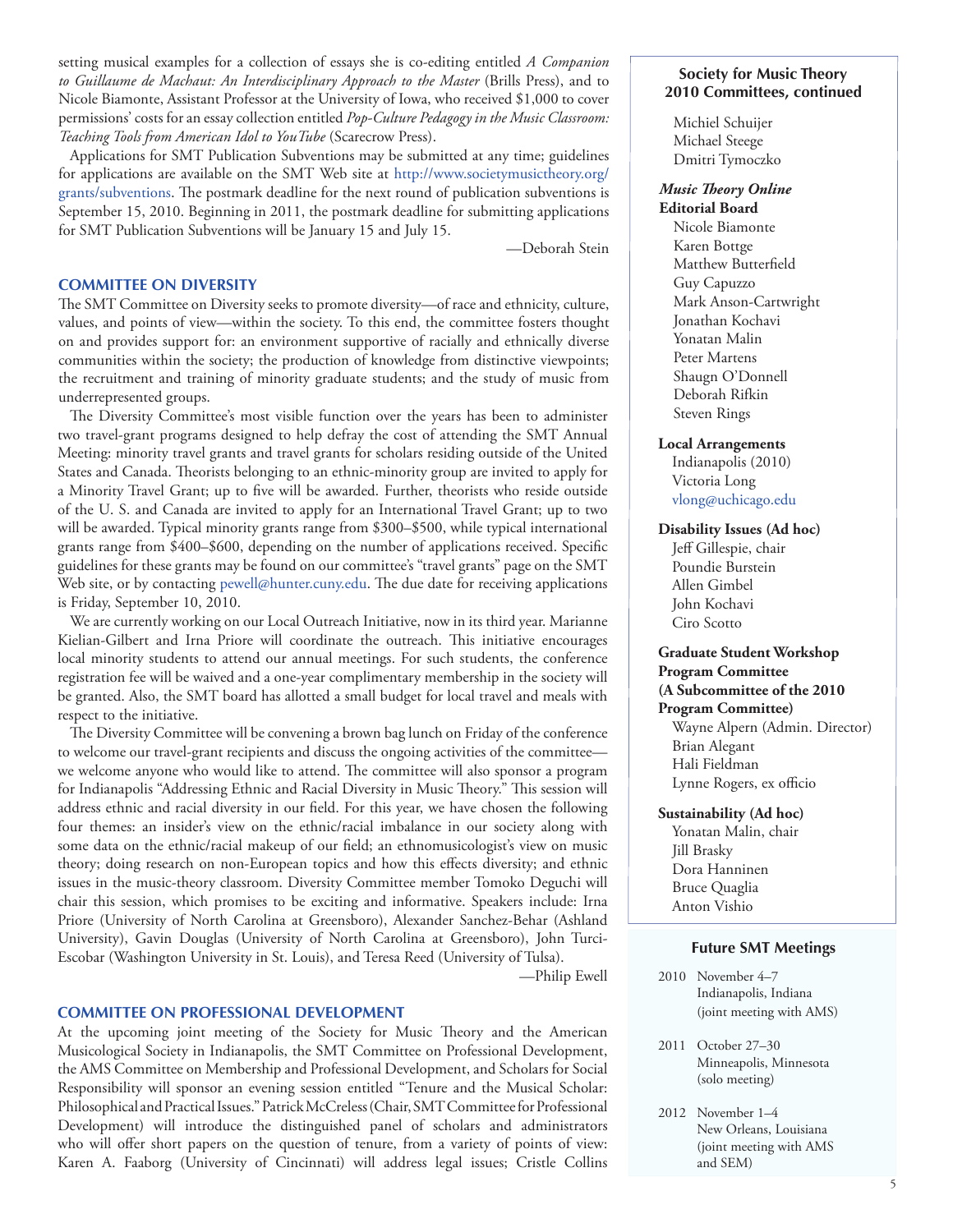setting musical examples for a collection of essays she is co-editing entitled *A Companion to Guillaume de Machaut: An Interdisciplinary Approach to the Master* (Brills Press), and to Nicole Biamonte, Assistant Professor at the University of Iowa, who received \$1,000 to cover permissions' costs for an essay collection entitled *Pop-Culture Pedagogy in the Music Classroom: Teaching Tools from American Idol to YouTube* (Scarecrow Press).

Applications for SMT Publication Subventions may be submitted at any time; guidelines for applications are available on the SMT Web site at [http://www.societymusictheory.org/](http://www.societymusictheory.org/grants/subventions) [grants/subventions.](http://www.societymusictheory.org/grants/subventions) The postmark deadline for the next round of publication subventions is September 15, 2010. Beginning in 2011, the postmark deadline for submitting applications for SMT Publication Subventions will be January 15 and July 15.

—Deborah Stein

#### **COMMITTEE ON DIVERSITY**

The SMT Committee on Diversity seeks to promote diversity—of race and ethnicity, culture, values, and points of view—within the society. To this end, the committee fosters thought on and provides support for: an environment supportive of racially and ethnically diverse communities within the society; the production of knowledge from distinctive viewpoints; the recruitment and training of minority graduate students; and the study of music from underrepresented groups.

The Diversity Committee's most visible function over the years has been to administer two travel-grant programs designed to help defray the cost of attending the SMT Annual Meeting: minority travel grants and travel grants for scholars residing outside of the United States and Canada. Theorists belonging to an ethnic-minority group are invited to apply for a Minority Travel Grant; up to five will be awarded. Further, theorists who reside outside of the U. S. and Canada are invited to apply for an International Travel Grant; up to two will be awarded. Typical minority grants range from \$300–\$500, while typical international grants range from \$400–\$600, depending on the number of applications received. Specific guidelines for these grants may be found on our committee's "travel grants" page on the SMT Web site, or by contacting [pewell@hunter.cuny.edu.](mailto:pewell@hunter.cuny.edu) The due date for receiving applications is Friday, September 10, 2010.

We are currently working on our Local Outreach Initiative, now in its third year. Marianne Kielian-Gilbert and Irna Priore will coordinate the outreach. This initiative encourages local minority students to attend our annual meetings. For such students, the conference registration fee will be waived and a one-year complimentary membership in the society will be granted. Also, the SMT board has allotted a small budget for local travel and meals with respect to the initiative.

The Diversity Committee will be convening a brown bag lunch on Friday of the conference to welcome our travel-grant recipients and discuss the ongoing activities of the committee we welcome anyone who would like to attend. The committee will also sponsor a program for Indianapolis "Addressing Ethnic and Racial Diversity in Music Theory." This session will address ethnic and racial diversity in our field. For this year, we have chosen the following four themes: an insider's view on the ethnic/racial imbalance in our society along with some data on the ethnic/racial makeup of our field; an ethnomusicologist's view on music theory; doing research on non-European topics and how this effects diversity; and ethnic issues in the music-theory classroom. Diversity Committee member Tomoko Deguchi will chair this session, which promises to be exciting and informative. Speakers include: Irna Priore (University of North Carolina at Greensboro), Alexander Sanchez-Behar (Ashland University), Gavin Douglas (University of North Carolina at Greensboro), John Turci-Escobar (Washington University in St. Louis), and Teresa Reed (University of Tulsa).

—Philip Ewell

#### **COMMITTEE ON PROFESSIONAL DEVELOPMENT**

At the upcoming joint meeting of the Society for Music Theory and the American Musicological Society in Indianapolis, the SMT Committee on Professional Development, the AMS Committee on Membership and Professional Development, and Scholars for Social Responsibility will sponsor an evening session entitled "Tenure and the Musical Scholar: Philosophical and Practical Issues." Patrick McCreless (Chair, SMT Committee for Professional Development) will introduce the distinguished panel of scholars and administrators who will offer short papers on the question of tenure, from a variety of points of view: Karen A. Faaborg (University of Cincinnati) will address legal issues; Cristle Collins

#### **Society for Music Theory 2010 Committees, continued**

Michiel Schuijer Michael Steege Dmitri Tymoczko

#### *Music Theory Online* **Editorial Board**

Nicole Biamonte Karen Bottge Matthew Butterfield Guy Capuzzo Mark Anson-Cartwright Jonathan Kochavi Yonatan Malin Peter Martens Shaugn O'Donnell Deborah Rifkin Steven Rings

#### **Local Arrangements**

Indianapolis (2010) Victoria Long [vlong@uchicago.edu](mailto:vlong@uchicago.edu)

#### **Disability Issues (Ad hoc)**

Jeff Gillespie, chair Poundie Burstein Allen Gimbel John Kochavi Ciro Scotto

## **Graduate Student Workshop Program Committee (A Subcommittee of the 2010 Program Committee)**

Wayne Alpern (Admin. Director) Brian Alegant Hali Fieldman Lynne Rogers, ex officio

#### **Sustainability (Ad hoc)**

Yonatan Malin, chair Jill Brasky Dora Hanninen Bruce Quaglia Anton Vishio

#### **Future SMT Meetings**

- 2010 November 4–7 Indianapolis, Indiana (joint meeting with AMS)
- 2011 October 27–30 Minneapolis, Minnesota (solo meeting)
- 2012 November 1–4 New Orleans, Louisiana (joint meeting with AMS and SEM)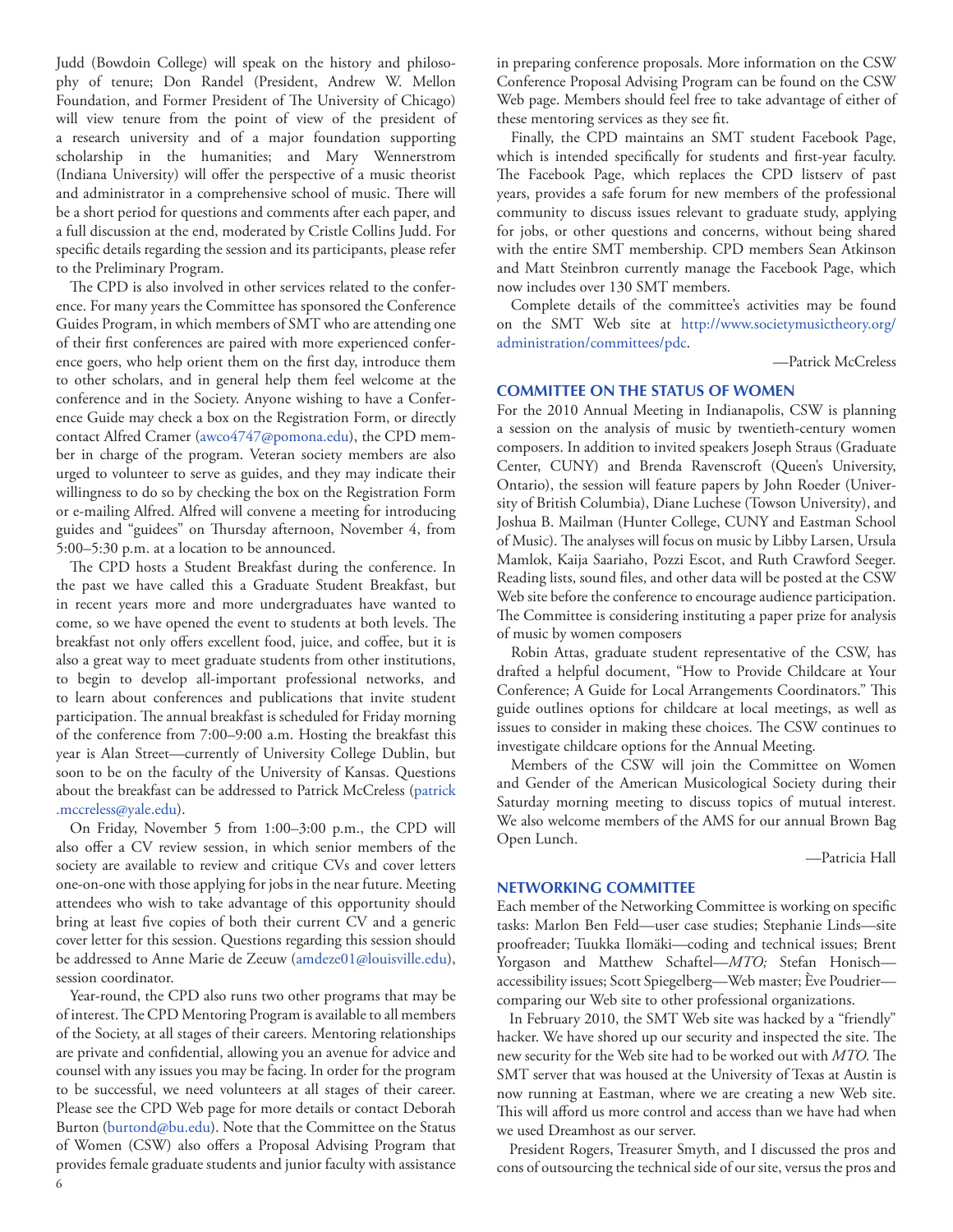Judd (Bowdoin College) will speak on the history and philosophy of tenure; Don Randel (President, Andrew W. Mellon Foundation, and Former President of The University of Chicago) will view tenure from the point of view of the president of a research university and of a major foundation supporting scholarship in the humanities; and Mary Wennerstrom (Indiana University) will offer the perspective of a music theorist and administrator in a comprehensive school of music. There will be a short period for questions and comments after each paper, and a full discussion at the end, moderated by Cristle Collins Judd. For specific details regarding the session and its participants, please refer to the Preliminary Program.

The CPD is also involved in other services related to the conference. For many years the Committee has sponsored the Conference Guides Program, in which members of SMT who are attending one of their first conferences are paired with more experienced conference goers, who help orient them on the first day, introduce them to other scholars, and in general help them feel welcome at the conference and in the Society. Anyone wishing to have a Conference Guide may check a box on the Registration Form, or directly contact Alfred Cramer [\(awco4747@pomona.edu](mailto:awco4747@pomona.edu)), the CPD member in charge of the program. Veteran society members are also urged to volunteer to serve as guides, and they may indicate their willingness to do so by checking the box on the Registration Form or e-mailing Alfred. Alfred will convene a meeting for introducing guides and "guidees" on Thursday afternoon, November 4, from 5:00–5:30 p.m. at a location to be announced.

The CPD hosts a Student Breakfast during the conference. In the past we have called this a Graduate Student Breakfast, but in recent years more and more undergraduates have wanted to come, so we have opened the event to students at both levels. The breakfast not only offers excellent food, juice, and coffee, but it is also a great way to meet graduate students from other institutions, to begin to develop all-important professional networks, and to learn about conferences and publications that invite student participation. The annual breakfast is scheduled for Friday morning of the conference from 7:00–9:00 a.m. Hosting the breakfast this year is Alan Street—currently of University College Dublin, but soon to be on the faculty of the University of Kansas. Questions about the breakfast can be addressed to Patrick McCreless [\(patrick](mailto:patrick.mccreless@yale.edu) [.mccreless@yale.edu\)](mailto:patrick.mccreless@yale.edu).

On Friday, November 5 from 1:00–3:00 p.m., the CPD will also offer a CV review session, in which senior members of the society are available to review and critique CVs and cover letters one-on-one with those applying for jobs in the near future. Meeting attendees who wish to take advantage of this opportunity should bring at least five copies of both their current CV and a generic cover letter for this session. Questions regarding this session should be addressed to Anne Marie de Zeeuw [\(amdeze01@louisville.edu](mailto:amdeze01@louisville.edu)), session coordinator.

Year-round, the CPD also runs two other programs that may be of interest. The CPD Mentoring Program is available to all members of the Society, at all stages of their careers. Mentoring relationships are private and confidential, allowing you an avenue for advice and counsel with any issues you may be facing. In order for the program to be successful, we need volunteers at all stages of their career. Please see the CPD Web page for more details or contact Deborah Burton [\(burtond@bu.edu](mailto:burtond@bu.edu)). Note that the Committee on the Status of Women (CSW) also offers a Proposal Advising Program that provides female graduate students and junior faculty with assistance in preparing conference proposals. More information on the CSW Conference Proposal Advising Program can be found on the CSW Web page. Members should feel free to take advantage of either of these mentoring services as they see fit.

Finally, the CPD maintains an SMT student Facebook Page, which is intended specifically for students and first-year faculty. The Facebook Page, which replaces the CPD listserv of past years, provides a safe forum for new members of the professional community to discuss issues relevant to graduate study, applying for jobs, or other questions and concerns, without being shared with the entire SMT membership. CPD members Sean Atkinson and Matt Steinbron currently manage the Facebook Page, which now includes over 130 SMT members.

Complete details of the committee's activities may be found on the SMT Web site at [http://www.societymusictheory.org/](http://www.societymusictheory.org/administration/committees/pdc) [administration/committees/pdc](http://www.societymusictheory.org/administration/committees/pdc).

—Patrick McCreless

#### **COMMITTEE ON THE STATUS OF WOMEN**

For the 2010 Annual Meeting in Indianapolis, CSW is planning a session on the analysis of music by twentieth-century women composers. In addition to invited speakers Joseph Straus (Graduate Center, CUNY) and Brenda Ravenscroft (Queen's University, Ontario), the session will feature papers by John Roeder (University of British Columbia), Diane Luchese (Towson University), and Joshua B. Mailman (Hunter College, CUNY and Eastman School of Music). The analyses will focus on music by Libby Larsen, Ursula Mamlok, Kaija Saariaho, Pozzi Escot, and Ruth Crawford Seeger. Reading lists, sound files, and other data will be posted at the CSW Web site before the conference to encourage audience participation. The Committee is considering instituting a paper prize for analysis of music by women composers

Robin Attas, graduate student representative of the CSW, has drafted a helpful document, "How to Provide Childcare at Your Conference; A Guide for Local Arrangements Coordinators." This guide outlines options for childcare at local meetings, as well as issues to consider in making these choices. The CSW continues to investigate childcare options for the Annual Meeting.

Members of the CSW will join the Committee on Women and Gender of the American Musicological Society during their Saturday morning meeting to discuss topics of mutual interest. We also welcome members of the AMS for our annual Brown Bag Open Lunch.

—Patricia Hall

#### **NETWORKING COMMITTEE**

Each member of the Networking Committee is working on specific tasks: Marlon Ben Feld—user case studies; Stephanie Linds—site proofreader; Tuukka Ilomäki—coding and technical issues; Brent Yorgason and Matthew Schaftel—*MTO;* Stefan Honisch accessibility issues; Scott Spiegelberg—Web master; Ève Poudrier comparing our Web site to other professional organizations.

In February 2010, the SMT Web site was hacked by a "friendly" hacker. We have shored up our security and inspected the site. The new security for the Web site had to be worked out with *MTO.* The SMT server that was housed at the University of Texas at Austin is now running at Eastman, where we are creating a new Web site. This will afford us more control and access than we have had when we used Dreamhost as our server.

President Rogers, Treasurer Smyth, and I discussed the pros and cons of outsourcing the technical side of our site, versus the pros and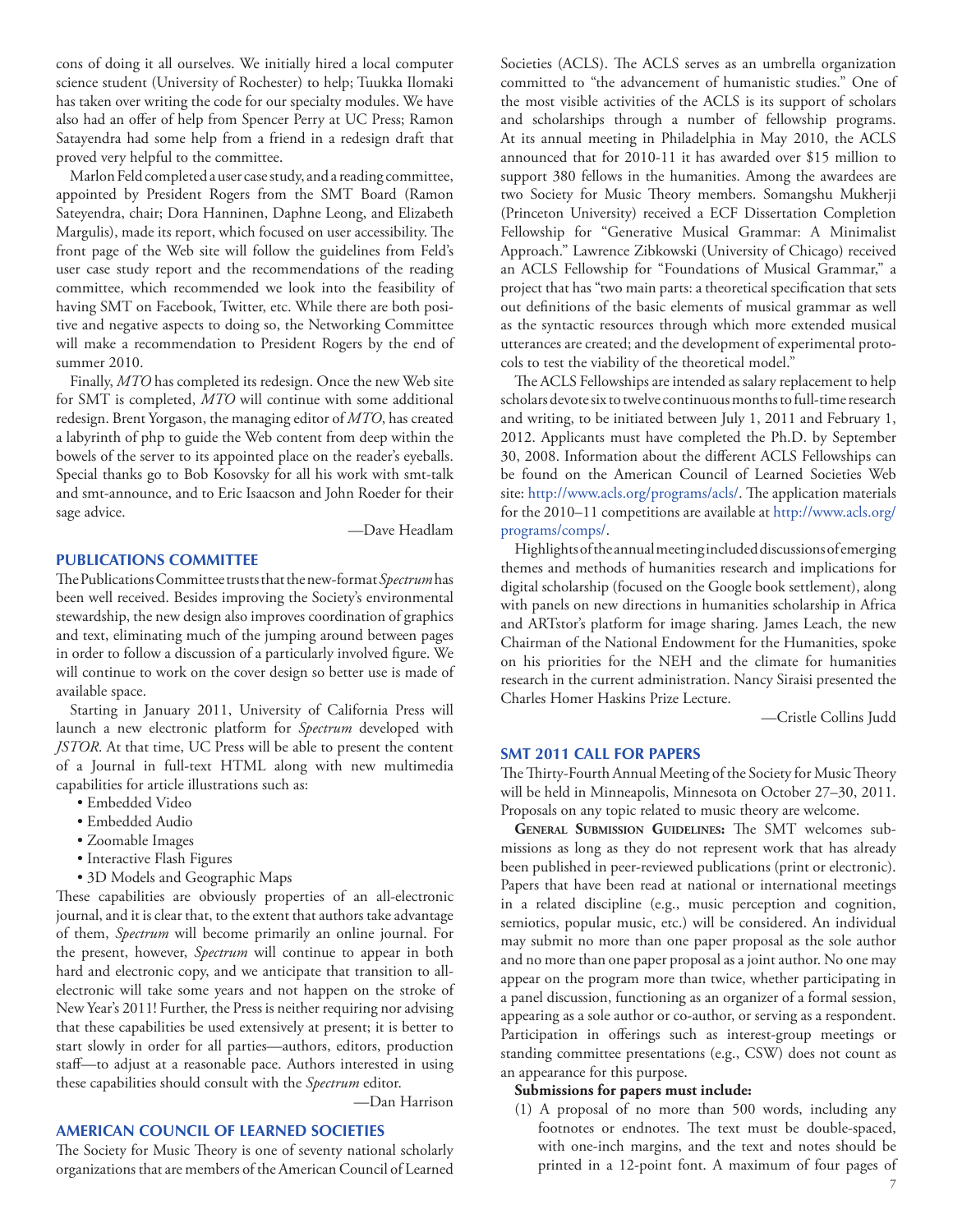cons of doing it all ourselves. We initially hired a local computer science student (University of Rochester) to help; Tuukka Ilomaki has taken over writing the code for our specialty modules. We have also had an offer of help from Spencer Perry at UC Press; Ramon Satayendra had some help from a friend in a redesign draft that proved very helpful to the committee.

Marlon Feld completed a user case study, and a reading committee, appointed by President Rogers from the SMT Board (Ramon Sateyendra, chair; Dora Hanninen, Daphne Leong, and Elizabeth Margulis), made its report, which focused on user accessibility. The front page of the Web site will follow the guidelines from Feld's user case study report and the recommendations of the reading committee, which recommended we look into the feasibility of having SMT on Facebook, Twitter, etc. While there are both positive and negative aspects to doing so, the Networking Committee will make a recommendation to President Rogers by the end of summer 2010.

Finally, *MTO* has completed its redesign. Once the new Web site for SMT is completed, *MTO* will continue with some additional redesign. Brent Yorgason, the managing editor of *MTO*, has created a labyrinth of php to guide the Web content from deep within the bowels of the server to its appointed place on the reader's eyeballs. Special thanks go to Bob Kosovsky for all his work with smt-talk and smt-announce, and to Eric Isaacson and John Roeder for their sage advice.

—Dave Headlam

## **PUBLICATIONS COMMITTEE**

The Publications Committee trusts that the new-format *Spectrum* has been well received. Besides improving the Society's environmental stewardship, the new design also improves coordination of graphics and text, eliminating much of the jumping around between pages in order to follow a discussion of a particularly involved figure. We will continue to work on the cover design so better use is made of available space.

Starting in January 2011, University of California Press will launch a new electronic platform for *Spectrum* developed with *JSTOR*. At that time, UC Press will be able to present the content of a Journal in full-text HTML along with new multimedia capabilities for article illustrations such as:

- Embedded Video
- Embedded Audio
- Zoomable Images
- Interactive Flash Figures
- 3D Models and Geographic Maps

These capabilities are obviously properties of an all-electronic journal, and it is clear that, to the extent that authors take advantage of them, *Spectrum* will become primarily an online journal. For the present, however, *Spectrum* will continue to appear in both hard and electronic copy, and we anticipate that transition to allelectronic will take some years and not happen on the stroke of New Year's 2011! Further, the Press is neither requiring nor advising that these capabilities be used extensively at present; it is better to start slowly in order for all parties—authors, editors, production staff—to adjust at a reasonable pace. Authors interested in using these capabilities should consult with the *Spectrum* editor.

—Dan Harrison

# **AMERICAN COUNCIL OF LEARNED SOCIETIES**

The Society for Music Theory is one of seventy national scholarly organizations that are members of the American Council of Learned

Societies (ACLS). The ACLS serves as an umbrella organization committed to "the advancement of humanistic studies." One of the most visible activities of the ACLS is its support of scholars and scholarships through a number of fellowship programs. At its annual meeting in Philadelphia in May 2010, the ACLS announced that for 2010-11 it has awarded over \$15 million to support 380 fellows in the humanities. Among the awardees are two Society for Music Theory members. Somangshu Mukherji (Princeton University) received a ECF Dissertation Completion Fellowship for "Generative Musical Grammar: A Minimalist Approach." Lawrence Zibkowski (University of Chicago) received an ACLS Fellowship for "Foundations of Musical Grammar," a project that has "two main parts: a theoretical specification that sets out definitions of the basic elements of musical grammar as well as the syntactic resources through which more extended musical utterances are created; and the development of experimental protocols to test the viability of the theoretical model."

The ACLS Fellowships are intended as salary replacement to help scholars devote six to twelve continuous months to full-time research and writing, to be initiated between July 1, 2011 and February 1, 2012. Applicants must have completed the Ph.D. by September 30, 2008. Information about the different ACLS Fellowships can be found on the American Council of Learned Societies Web site: [http://www.acls.org/programs/acls/.](http://www.acls.org/programs/acls/) The application materials for the 2010–11 competitions are available at [http://www.acls.org/](http://www.acls.org/programs/comps/) [programs/comps/](http://www.acls.org/programs/comps/).

Highlights of the annual meeting included discussions of emerging themes and methods of humanities research and implications for digital scholarship (focused on the Google book settlement), along with panels on new directions in humanities scholarship in Africa and ARTstor's platform for image sharing. James Leach, the new Chairman of the National Endowment for the Humanities, spoke on his priorities for the NEH and the climate for humanities research in the current administration. Nancy Siraisi presented the Charles Homer Haskins Prize Lecture.

—Cristle Collins Judd

#### **SMT 2011 CALL FOR PAPERS**

The Thirty-Fourth Annual Meeting of the Society for Music Theory will be held in Minneapolis, Minnesota on October 27–30, 2011. Proposals on any topic related to music theory are welcome.

**General Submission Guidelines:** The SMT welcomes submissions as long as they do not represent work that has already been published in peer-reviewed publications (print or electronic). Papers that have been read at national or international meetings in a related discipline (e.g., music perception and cognition, semiotics, popular music, etc.) will be considered. An individual may submit no more than one paper proposal as the sole author and no more than one paper proposal as a joint author. No one may appear on the program more than twice, whether participating in a panel discussion, functioning as an organizer of a formal session, appearing as a sole author or co-author, or serving as a respondent. Participation in offerings such as interest-group meetings or standing committee presentations (e.g., CSW) does not count as an appearance for this purpose.

#### **Submissions for papers must include:**

(1) A proposal of no more than 500 words, including any footnotes or endnotes. The text must be double-spaced, with one-inch margins, and the text and notes should be printed in a 12-point font. A maximum of four pages of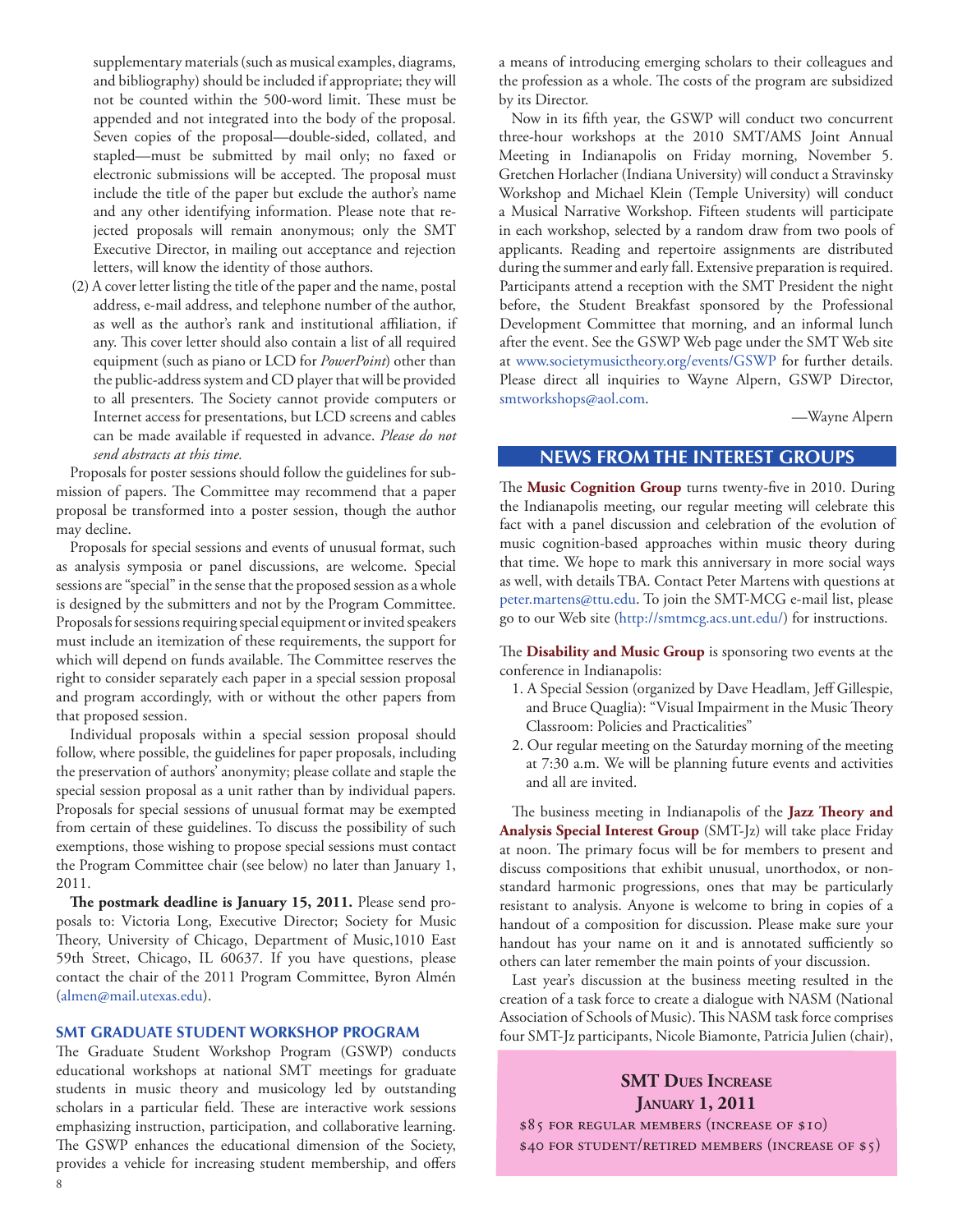<span id="page-7-0"></span>supplementary materials (such as musical examples, diagrams, and bibliography) should be included if appropriate; they will not be counted within the 500-word limit. These must be appended and not integrated into the body of the proposal. Seven copies of the proposal—double-sided, collated, and stapled—must be submitted by mail only; no faxed or electronic submissions will be accepted. The proposal must include the title of the paper but exclude the author's name and any other identifying information. Please note that rejected proposals will remain anonymous; only the SMT Executive Director, in mailing out acceptance and rejection letters, will know the identity of those authors.

(2) A cover letter listing the title of the paper and the name, postal address, e-mail address, and telephone number of the author, as well as the author's rank and institutional affiliation, if any. This cover letter should also contain a list of all required equipment (such as piano or LCD for *PowerPoint*) other than the public-address system and CD player that will be provided to all presenters. The Society cannot provide computers or Internet access for presentations, but LCD screens and cables can be made available if requested in advance. *Please do not send abstracts at this time.*

Proposals for poster sessions should follow the guidelines for submission of papers. The Committee may recommend that a paper proposal be transformed into a poster session, though the author may decline.

Proposals for special sessions and events of unusual format, such as analysis symposia or panel discussions, are welcome. Special sessions are "special" in the sense that the proposed session as a whole is designed by the submitters and not by the Program Committee. Proposals for sessions requiring special equipment or invited speakers must include an itemization of these requirements, the support for which will depend on funds available. The Committee reserves the right to consider separately each paper in a special session proposal and program accordingly, with or without the other papers from that proposed session.

Individual proposals within a special session proposal should follow, where possible, the guidelines for paper proposals, including the preservation of authors' anonymity; please collate and staple the special session proposal as a unit rather than by individual papers. Proposals for special sessions of unusual format may be exempted from certain of these guidelines. To discuss the possibility of such exemptions, those wishing to propose special sessions must contact the Program Committee chair (see below) no later than January 1, 2011.

**The postmark deadline is January 15, 2011.** Please send proposals to: Victoria Long, Executive Director; Society for Music Theory, University of Chicago, Department of Music,1010 East 59th Street, Chicago, IL 60637. If you have questions, please contact the chair of the 2011 Program Committee, Byron Almén [\(almen@mail.utexas.edu](mailto:almen@mail.utexas.edu)).

#### **SMT GRADUATE STUDENT WORKSHOP PROGRAM**

The Graduate Student Workshop Program (GSWP) conducts educational workshops at national SMT meetings for graduate students in music theory and musicology led by outstanding scholars in a particular field. These are interactive work sessions emphasizing instruction, participation, and collaborative learning. The GSWP enhances the educational dimension of the Society, provides a vehicle for increasing student membership, and offers a means of introducing emerging scholars to their colleagues and the profession as a whole. The costs of the program are subsidized by its Director.

Now in its fifth year, the GSWP will conduct two concurrent three-hour workshops at the 2010 SMT/AMS Joint Annual Meeting in Indianapolis on Friday morning, November 5. Gretchen Horlacher (Indiana University) will conduct a Stravinsky Workshop and Michael Klein (Temple University) will conduct a Musical Narrative Workshop. Fifteen students will participate in each workshop, selected by a random draw from two pools of applicants. Reading and repertoire assignments are distributed during the summer and early fall. Extensive preparation is required. Participants attend a reception with the SMT President the night before, the Student Breakfast sponsored by the Professional Development Committee that morning, and an informal lunch after the event. See the GSWP Web page under the SMT Web site at <www.societymusictheory.org/events/GSWP>for further details. Please direct all inquiries to Wayne Alpern, GSWP Director, [smtworkshops@aol.com.](mailto:smtworkshops@aol.com)

—Wayne Alpern

# **NEWS FROM THE INTEREST GROUPS**

The **Music Cognition Group** turns twenty-five in 2010. During the Indianapolis meeting, our regular meeting will celebrate this fact with a panel discussion and celebration of the evolution of music cognition-based approaches within music theory during that time. We hope to mark this anniversary in more social ways as well, with details TBA. Contact Peter Martens with questions at [peter.martens@ttu.edu.](mailto:peter.martens@ttu.edu) To join the SMT-MCG e-mail list, please go to our Web site (<http://smtmcg.acs.unt.edu/>) for instructions.

The **Disability and Music Group** is sponsoring two events at the conference in Indianapolis:

- 1. A Special Session (organized by Dave Headlam, Jeff Gillespie, and Bruce Quaglia): "Visual Impairment in the Music Theory Classroom: Policies and Practicalities"
- 2. Our regular meeting on the Saturday morning of the meeting at 7:30 a.m. We will be planning future events and activities and all are invited.

The business meeting in Indianapolis of the **Jazz Theory and Analysis Special Interest Group** (SMT-Jz) will take place Friday at noon. The primary focus will be for members to present and discuss compositions that exhibit unusual, unorthodox, or nonstandard harmonic progressions, ones that may be particularly resistant to analysis. Anyone is welcome to bring in copies of a handout of a composition for discussion. Please make sure your handout has your name on it and is annotated sufficiently so others can later remember the main points of your discussion.

Last year's discussion at the business meeting resulted in the creation of a task force to create a dialogue with NASM (National Association of Schools of Music). This NASM task force comprises four SMT-Jz participants, Nicole Biamonte, Patricia Julien (chair),

# **SMT DUES INCREASE January 1, 2011** \$85 for regular members (increase of \$10) \$40 for student/retired members (increase of \$5)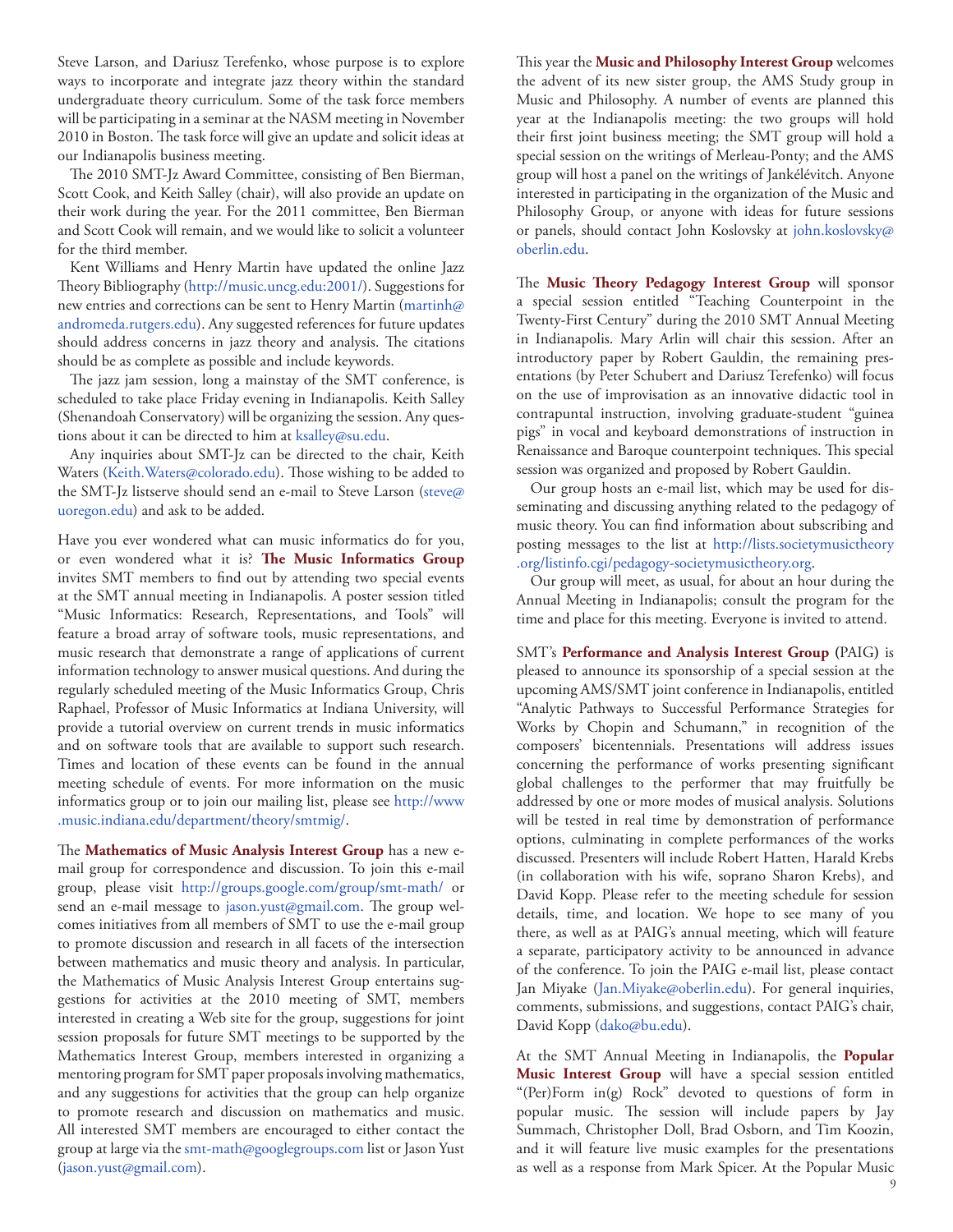Steve Larson, and Dariusz Terefenko, whose purpose is to explore ways to incorporate and integrate jazz theory within the standard undergraduate theory curriculum. Some of the task force members will be participating in a seminar at the NASM meeting in November 2010 in Boston. The task force will give an update and solicit ideas at our Indianapolis business meeting.

The 2010 SMT-Jz Award Committee, consisting of Ben Bierman, Scott Cook, and Keith Salley (chair), will also provide an update on their work during the year. For the 2011 committee, Ben Bierman and Scott Cook will remain, and we would like to solicit a volunteer for the third member.

Kent Williams and Henry Martin have updated the online Jazz Theory Bibliography [\(http://music.uncg.edu:2001/](http://music.uncg.edu:2001/)). Suggestions for new entries and corrections can be sent to Henry Martin ([martinh@](mailto:martinh@andromeda.rutgers.edu) [andromeda.rutgers.edu](mailto:martinh@andromeda.rutgers.edu)). Any suggested references for future updates should address concerns in jazz theory and analysis. The citations should be as complete as possible and include keywords.

The jazz jam session, long a mainstay of the SMT conference, is scheduled to take place Friday evening in Indianapolis. Keith Salley (Shenandoah Conservatory) will be organizing the session. Any questions about it can be directed to him at [ksalley@su.edu](mailto:ksalley@su.edu).

Any inquiries about SMT-Jz can be directed to the chair, Keith Waters [\(Keith.Waters@colorado.edu](mailto:Keith.Waters@colorado.edu)). Those wishing to be added to the SMT-Jz listserve should send an e-mail to Steve Larson [\(steve@](mailto:steve@uoregon.edu) [uoregon.edu](mailto:steve@uoregon.edu)) and ask to be added.

Have you ever wondered what can music informatics do for you, or even wondered what it is? **The Music Informatics Group** invites SMT members to find out by attending two special events at the SMT annual meeting in Indianapolis. A poster session titled "Music Informatics: Research, Representations, and Tools" will feature a broad array of software tools, music representations, and music research that demonstrate a range of applications of current information technology to answer musical questions. And during the regularly scheduled meeting of the Music Informatics Group, Chris Raphael, Professor of Music Informatics at Indiana University, will provide a tutorial overview on current trends in music informatics and on software tools that are available to support such research. Times and location of these events can be found in the annual meeting schedule of events. For more information on the music informatics group or to join our mailing list, please see [http://www](http://www.music.indiana.edu/department/theory/smtmig/) [.music.indiana.edu/department/theory/smtmig/](http://www.music.indiana.edu/department/theory/smtmig/).

The **Mathematics of Music Analysis Interest Group** has a new email group for correspondence and discussion. To join this e-mail group, please visit <http://groups.google.com/group/smt-math/>or send an e-mail message to [jason.yust@gmail.com](mailto:jason.yust@gmail.com). The group welcomes initiatives from all members of SMT to use the e-mail group to promote discussion and research in all facets of the intersection between mathematics and music theory and analysis. In particular, the Mathematics of Music Analysis Interest Group entertains suggestions for activities at the 2010 meeting of SMT, members interested in creating a Web site for the group, suggestions for joint session proposals for future SMT meetings to be supported by the Mathematics Interest Group, members interested in organizing a mentoring program for SMT paper proposals involving mathematics, and any suggestions for activities that the group can help organize to promote research and discussion on mathematics and music. All interested SMT members are encouraged to either contact the group at large via th[e smt-math@googlegroups.com]( mailto:smt-math@googlegroups.com) list or Jason Yust (jason.yust@gmail.com).

This year the **Music and Philosophy Interest Group** welcomes the advent of its new sister group, the AMS Study group in Music and Philosophy. A number of events are planned this year at the Indianapolis meeting: the two groups will hold their first joint business meeting; the SMT group will hold a special session on the writings of Merleau-Ponty; and the AMS group will host a panel on the writings of Jankélévitch. Anyone interested in participating in the organization of the Music and Philosophy Group, or anyone with ideas for future sessions or panels, should contact John Koslovsky at [john.koslovsky@](mailto:john.koslovsky@oberlin.edu) [oberlin.edu](mailto:john.koslovsky@oberlin.edu).

The **Music Theory Pedagogy Interest Group** will sponsor a special session entitled "Teaching Counterpoint in the Twenty-First Century" during the 2010 SMT Annual Meeting in Indianapolis. Mary Arlin will chair this session. After an introductory paper by Robert Gauldin, the remaining presentations (by Peter Schubert and Dariusz Terefenko) will focus on the use of improvisation as an innovative didactic tool in contrapuntal instruction, involving graduate-student "guinea pigs" in vocal and keyboard demonstrations of instruction in Renaissance and Baroque counterpoint techniques. This special session was organized and proposed by Robert Gauldin.

Our group hosts an e-mail list, which may be used for disseminating and discussing anything related to the pedagogy of music theory. You can find information about subscribing and posting messages to the list at [http://lists.societymusictheory](http://lists.societymusictheory.org/listinfo.cgi/pedagogy-societymusictheory.org) [.org/listinfo.cgi/pedagogy-societymusictheory.org](http://lists.societymusictheory.org/listinfo.cgi/pedagogy-societymusictheory.org).

Our group will meet, as usual, for about an hour during the Annual Meeting in Indianapolis; consult the program for the time and place for this meeting. Everyone is invited to attend.

SMT's **Performance and Analysis Interest Group (**PAIG**)** is pleased to announce its sponsorship of a special session at the upcoming AMS/SMT joint conference in Indianapolis, entitled "Analytic Pathways to Successful Performance Strategies for Works by Chopin and Schumann," in recognition of the composers' bicentennials. Presentations will address issues concerning the performance of works presenting significant global challenges to the performer that may fruitfully be addressed by one or more modes of musical analysis. Solutions will be tested in real time by demonstration of performance options, culminating in complete performances of the works discussed. Presenters will include Robert Hatten, Harald Krebs (in collaboration with his wife, soprano Sharon Krebs), and David Kopp. Please refer to the meeting schedule for session details, time, and location. We hope to see many of you there, as well as at PAIG's annual meeting, which will feature a separate, participatory activity to be announced in advance of the conference. To join the PAIG e-mail list, please contact Jan Miyake ([Jan.Miyake@oberlin.edu](mailto:Jan.Miyake@oberlin.edu)). For general inquiries, comments, submissions, and suggestions, contact PAIG's chair, David Kopp [\(dako@bu.edu\)](mailto:dako@bu.edu).

At the SMT Annual Meeting in Indianapolis, the **Popular Music Interest Group** will have a special session entitled "(Per)Form in(g) Rock" devoted to questions of form in popular music. The session will include papers by Jay Summach, Christopher Doll, Brad Osborn, and Tim Koozin, and it will feature live music examples for the presentations as well as a response from Mark Spicer. At the Popular Music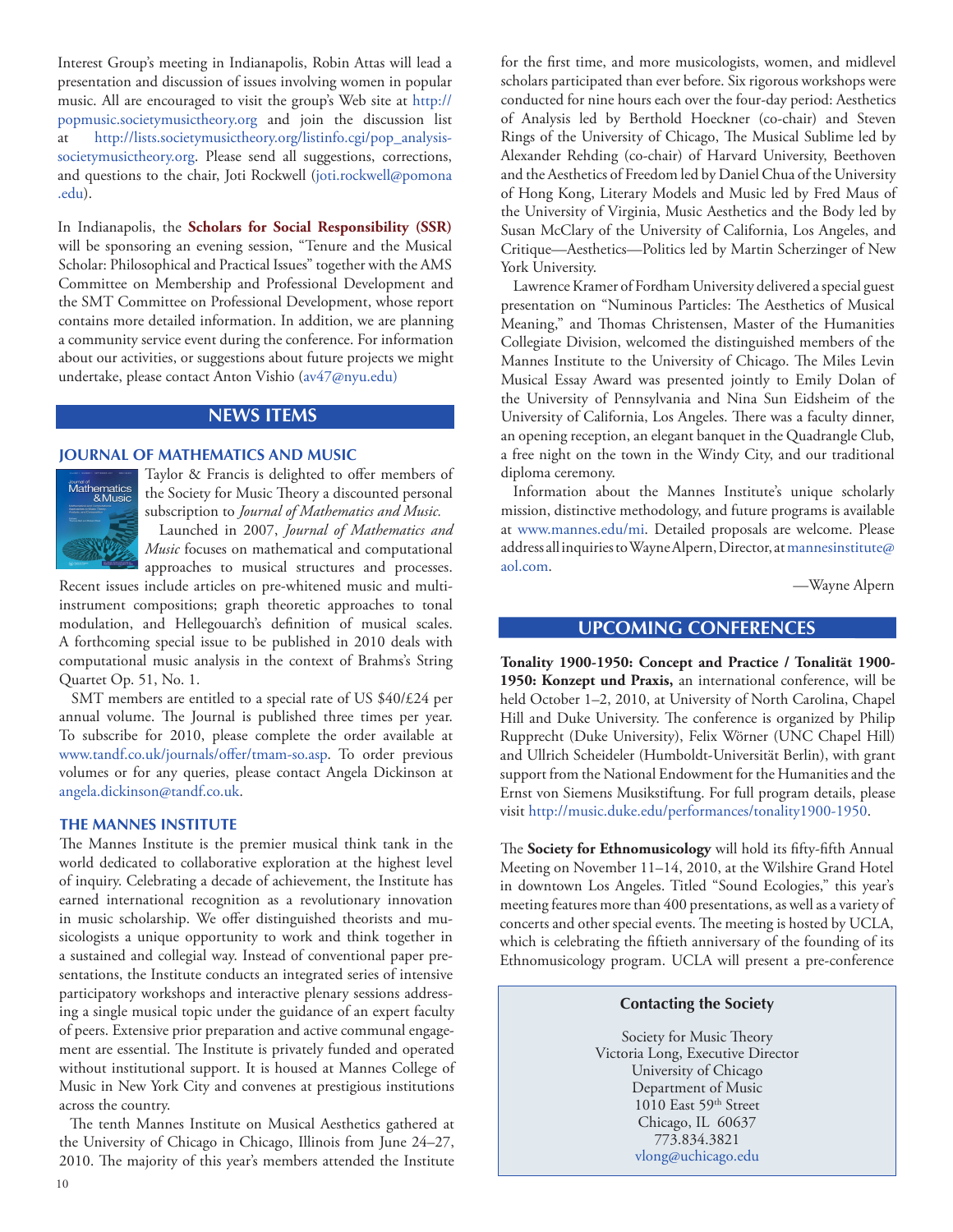Interest Group's meeting in Indianapolis, Robin Attas will lead a presentation and discussion of issues involving women in popular music. All are encouraged to visit the group's Web site at [http://](http://popmusic.societymusictheory.org) [popmusic.societymusictheory.org](http://popmusic.societymusictheory.org) and join the discussion list at [http://lists.societymusictheory.org/listinfo.cgi/pop\\_analysis](http://lists.societymusictheory.org/listinfo.cgi/pop_analysis-societymusictheory.org)[societymusictheory.org](http://lists.societymusictheory.org/listinfo.cgi/pop_analysis-societymusictheory.org). Please send all suggestions, corrections, and questions to the chair, Joti Rockwell [\(joti.rockwell@pomona](mailto:joti.rockwell@pomona.edu) [.edu\)](mailto:joti.rockwell@pomona.edu).

In Indianapolis, the **Scholars for Social Responsibility (SSR)** will be sponsoring an evening session, "Tenure and the Musical Scholar: Philosophical and Practical Issues" together with the AMS Committee on Membership and Professional Development and the SMT Committee on Professional Development, whose report contains more detailed information. In addition, we are planning a community service event during the conference. For information about our activities, or suggestions about future projects we might undertake, please contact Anton Vishio ([av47@nyu.](mailto:jfboss@uoregon.edu)edu)

# **NEWS ITEMS**

#### **JOURNAL OF MATHEMATICS AND MUSIC**



Taylor & Francis is delighted to offer members of the Society for Music Theory a discounted personal subscription to *Journal of Mathematics and Music.* Launched in 2007, *Journal of Mathematics and* 

*Music* focuses on mathematical and computational approaches to musical structures and processes.

Recent issues include articles on pre-whitened music and multiinstrument compositions; graph theoretic approaches to tonal modulation, and Hellegouarch's definition of musical scales. A forthcoming special issue to be published in 2010 deals with computational music analysis in the context of Brahms's String Quartet Op. 51, No. 1.

SMT members are entitled to a special rate of US \$40/£24 per annual volume. The Journal is published three times per year. To subscribe for 2010, please complete the order available at <www.tandf.co.uk/journals/offer/tmam-so.asp>. To order previous volumes or for any queries, please contact Angela Dickinson at [angela.dickinson@tandf.co.uk.](mailto:angela.dickinson@tandf.co.uk)

#### **THE MANNES INSTITUTE**

The Mannes Institute is the premier musical think tank in the world dedicated to collaborative exploration at the highest level of inquiry. Celebrating a decade of achievement, the Institute has earned international recognition as a revolutionary innovation in music scholarship. We offer distinguished theorists and musicologists a unique opportunity to work and think together in a sustained and collegial way. Instead of conventional paper presentations, the Institute conducts an integrated series of intensive participatory workshops and interactive plenary sessions addressing a single musical topic under the guidance of an expert faculty of peers. Extensive prior preparation and active communal engagement are essential. The Institute is privately funded and operated without institutional support. It is housed at Mannes College of Music in New York City and convenes at prestigious institutions across the country.

The tenth Mannes Institute on Musical Aesthetics gathered at the University of Chicago in Chicago, Illinois from June 24–27, 2010. The majority of this year's members attended the Institute

for the first time, and more musicologists, women, and midlevel scholars participated than ever before. Six rigorous workshops were conducted for nine hours each over the four-day period: Aesthetics of Analysis led by Berthold Hoeckner (co-chair) and Steven Rings of the University of Chicago, The Musical Sublime led by Alexander Rehding (co-chair) of Harvard University, Beethoven and the Aesthetics of Freedom led by Daniel Chua of the University of Hong Kong, Literary Models and Music led by Fred Maus of the University of Virginia, Music Aesthetics and the Body led by Susan McClary of the University of California, Los Angeles, and Critique—Aesthetics—Politics led by Martin Scherzinger of New York University.

Lawrence Kramer of Fordham University delivered a special guest presentation on "Numinous Particles: The Aesthetics of Musical Meaning," and Thomas Christensen, Master of the Humanities Collegiate Division, welcomed the distinguished members of the Mannes Institute to the University of Chicago. The Miles Levin Musical Essay Award was presented jointly to Emily Dolan of the University of Pennsylvania and Nina Sun Eidsheim of the University of California, Los Angeles. There was a faculty dinner, an opening reception, an elegant banquet in the Quadrangle Club, a free night on the town in the Windy City, and our traditional diploma ceremony.

Information about the Mannes Institute's unique scholarly mission, distinctive methodology, and future programs is available at [www.mannes.edu/mi](http://www.mannes.edu/mi). Detailed proposals are welcome. Please address all inquiries to Wayne Alpern, Director, at [mannesinstitute@](mailto:mannesinstitute@aol.com) [aol.com](mailto:mannesinstitute@aol.com).

—Wayne Alpern

# **UPCOMING CONFERENCES**

**Tonality 1900-1950: Concept and Practice / Tonalität 1900- 1950: Konzept und Praxis,** an international conference, will be held October 1–2, 2010, at University of North Carolina, Chapel Hill and Duke University. The conference is organized by Philip Rupprecht (Duke University), Felix Wörner (UNC Chapel Hill) and Ullrich Scheideler (Humboldt-Universität Berlin), with grant support from the National Endowment for the Humanities and the Ernst von Siemens Musikstiftung. For full program details, please visit <http://music.duke.edu/performances/tonality1900-1950>.

The **Society for Ethnomusicology** will hold its fifty-fifth Annual Meeting on November 11–14, 2010, at the Wilshire Grand Hotel in downtown Los Angeles. Titled "Sound Ecologies," this year's meeting features more than 400 presentations, as well as a variety of concerts and other special events. The meeting is hosted by UCLA, which is celebrating the fiftieth anniversary of the founding of its Ethnomusicology program. UCLA will present a pre-conference

## **Contacting the Society**

Society for Music Theory Victoria Long, Executive Director University of Chicago Department of Music 1010 East 59<sup>th</sup> Street Chicago, IL 60637 773.834.3821 [vlong@uchicago.edu](mailto:vlong@uchicago.edu)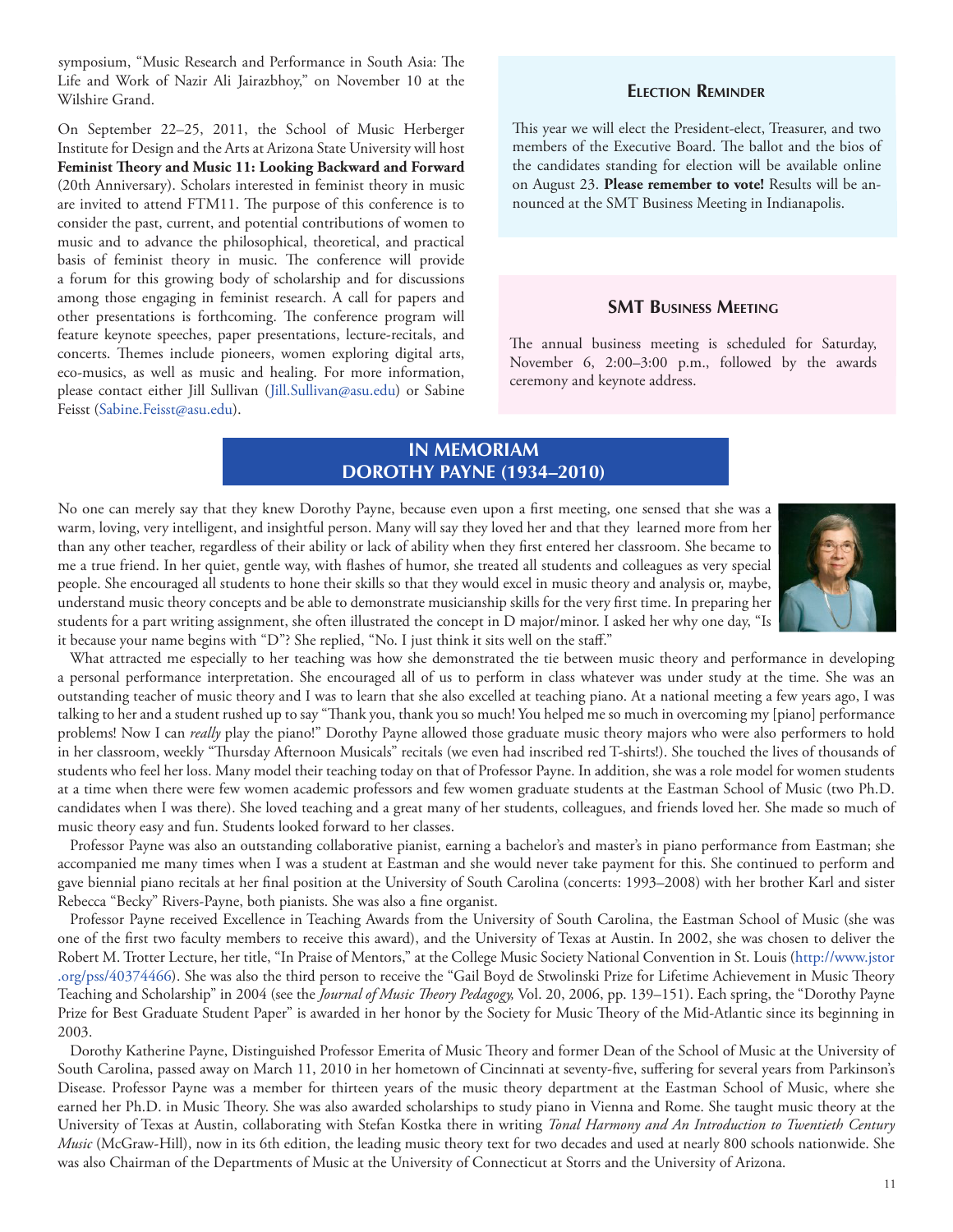<span id="page-10-0"></span>symposium, "Music Research and Performance in South Asia: The Life and Work of Nazir Ali Jairazbhoy," on November 10 at the Wilshire Grand.

On September 22–25, 2011, the School of Music Herberger Institute for Design and the Arts at Arizona State University will host **Feminist Theory and Music 11: Looking Backward and Forward** (20th Anniversary). Scholars interested in feminist theory in music are invited to attend FTM11. The purpose of this conference is to consider the past, current, and potential contributions of women to music and to advance the philosophical, theoretical, and practical basis of feminist theory in music. The conference will provide a forum for this growing body of scholarship and for discussions among those engaging in feminist research. A call for papers and other presentations is forthcoming. The conference program will feature keynote speeches, paper presentations, lecture-recitals, and concerts. Themes include pioneers, women exploring digital arts, eco-musics, as well as music and healing. For more information, please contact either Jill Sullivan [\(Jill.Sullivan@asu.edu](mailto:Jill.Sullivan@asu.edu)) or Sabine Feisst ([Sabine.Feisst@asu.edu\)](mailto:Sabine.Feisst@asu.edu).

## **Election Reminder**

This year we will elect the President-elect, Treasurer, and two members of the Executive Board. The ballot and the bios of the candidates standing for election will be available online on August 23. **Please remember to vote!** Results will be announced at the SMT Business Meeting in Indianapolis.

## **SMT Business Meeting**

The annual business meeting is scheduled for Saturday, November 6, 2:00–3:00 p.m., followed by the awards ceremony and keynote address.

# **IN MEMORIAM DOROTHY PAYNE (1934–2010)**

No one can merely say that they knew Dorothy Payne, because even upon a first meeting, one sensed that she was a warm, loving, very intelligent, and insightful person. Many will say they loved her and that they learned more from her than any other teacher, regardless of their ability or lack of ability when they first entered her classroom. She became to me a true friend. In her quiet, gentle way, with flashes of humor, she treated all students and colleagues as very special people. She encouraged all students to hone their skills so that they would excel in music theory and analysis or, maybe, understand music theory concepts and be able to demonstrate musicianship skills for the very first time. In preparing her students for a part writing assignment, she often illustrated the concept in D major/minor. I asked her why one day, "Is it because your name begins with "D"? She replied, "No. I just think it sits well on the staff."



What attracted me especially to her teaching was how she demonstrated the tie between music theory and performance in developing a personal performance interpretation. She encouraged all of us to perform in class whatever was under study at the time. She was an outstanding teacher of music theory and I was to learn that she also excelled at teaching piano. At a national meeting a few years ago, I was talking to her and a student rushed up to say "Thank you, thank you so much! You helped me so much in overcoming my [piano] performance problems! Now I can *really* play the piano!" Dorothy Payne allowed those graduate music theory majors who were also performers to hold in her classroom, weekly "Thursday Afternoon Musicals" recitals (we even had inscribed red T-shirts!). She touched the lives of thousands of students who feel her loss. Many model their teaching today on that of Professor Payne. In addition, she was a role model for women students at a time when there were few women academic professors and few women graduate students at the Eastman School of Music (two Ph.D. candidates when I was there). She loved teaching and a great many of her students, colleagues, and friends loved her. She made so much of music theory easy and fun. Students looked forward to her classes.

Professor Payne was also an outstanding collaborative pianist, earning a bachelor's and master's in piano performance from Eastman; she accompanied me many times when I was a student at Eastman and she would never take payment for this. She continued to perform and gave biennial piano recitals at her final position at the University of South Carolina (concerts: 1993–2008) with her brother Karl and sister Rebecca "Becky" Rivers-Payne, both pianists. She was also a fine organist.

Professor Payne received Excellence in Teaching Awards from the University of South Carolina, the Eastman School of Music (she was one of the first two faculty members to receive this award), and the University of Texas at Austin. In 2002, she was chosen to deliver the Robert M. Trotter Lecture, her title, "In Praise of Mentors," at the College Music Society National Convention in St. Louis ([http://www.jstor](http://www.jstor.org/pss/40374466) [.org/pss/40374466](http://www.jstor.org/pss/40374466)). She was also the third person to receive the "Gail Boyd de Stwolinski Prize for Lifetime Achievement in Music Theory Teaching and Scholarship" in 2004 (see the *Journal of Music Theory Pedagogy,* Vol. 20, 2006, pp. 139–151). Each spring, the "Dorothy Payne Prize for Best Graduate Student Paper" is awarded in her honor by the Society for Music Theory of the Mid-Atlantic since its beginning in 2003.

Dorothy Katherine Payne, Distinguished Professor Emerita of Music Theory and former Dean of the School of Music at the University of South Carolina, passed away on March 11, 2010 in her hometown of Cincinnati at seventy-five, suffering for several years from Parkinson's Disease. Professor Payne was a member for thirteen years of the music theory department at the Eastman School of Music, where she earned her Ph.D. in Music Theory. She was also awarded scholarships to study piano in Vienna and Rome. She taught music theory at the University of Texas at Austin, collaborating with Stefan Kostka there in writing *Tonal Harmony and An Introduction to Twentieth Century Music* (McGraw-Hill), now in its 6th edition, the leading music theory text for two decades and used at nearly 800 schools nationwide. She was also Chairman of the Departments of Music at the University of Connecticut at Storrs and the University of Arizona.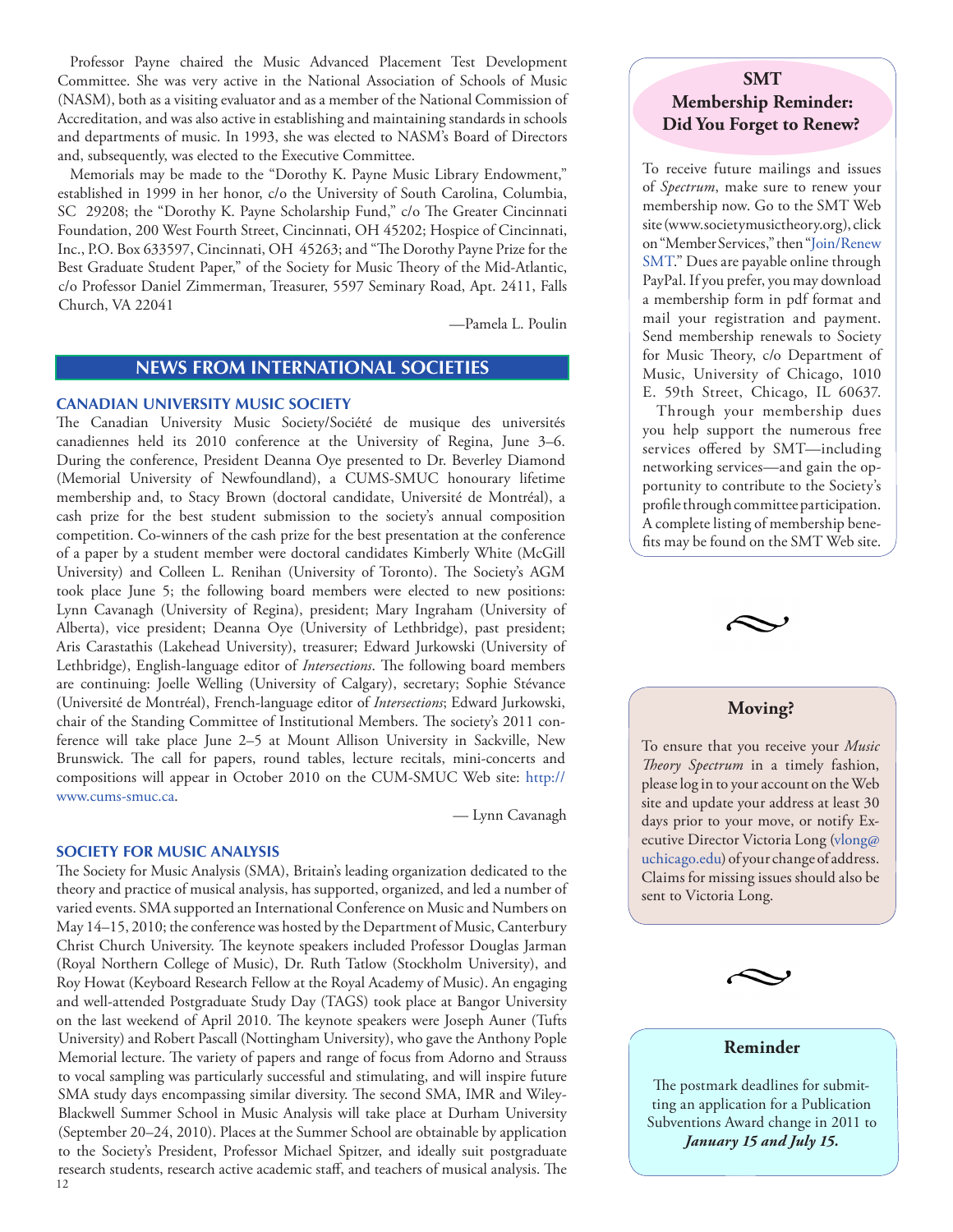<span id="page-11-0"></span>Professor Payne chaired the Music Advanced Placement Test Development Committee. She was very active in the National Association of Schools of Music (NASM), both as a visiting evaluator and as a member of the National Commission of Accreditation, and was also active in establishing and maintaining standards in schools and departments of music. In 1993, she was elected to NASM's Board of Directors and, subsequently, was elected to the Executive Committee.

Memorials may be made to the "Dorothy K. Payne Music Library Endowment," established in 1999 in her honor, c/o the University of South Carolina, Columbia, SC 29208; the "Dorothy K. Payne Scholarship Fund," c/o The Greater Cincinnati Foundation, 200 West Fourth Street, Cincinnati, OH 45202; Hospice of Cincinnati, Inc., P.O. Box 633597, Cincinnati, OH 45263; and "The Dorothy Payne Prize for the Best Graduate Student Paper," of the Society for Music Theory of the Mid-Atlantic, c/o Professor Daniel Zimmerman, Treasurer, 5597 Seminary Road, Apt. 2411, Falls Church, VA 22041

—Pamela L. Poulin

# **NEWS FROM INTERNATIONAL SOCIETIES**

#### **CANADIAN UNIVERSITY MUSIC SOCIETY**

The Canadian University Music Society/Société de musique des universités canadiennes held its 2010 conference at the University of Regina, June 3–6. During the conference, President Deanna Oye presented to Dr. Beverley Diamond (Memorial University of Newfoundland), a CUMS-SMUC honourary lifetime membership and, to Stacy Brown (doctoral candidate, Université de Montréal), a cash prize for the best student submission to the society's annual composition competition. Co-winners of the cash prize for the best presentation at the conference of a paper by a student member were doctoral candidates Kimberly White (McGill University) and Colleen L. Renihan (University of Toronto). The Society's AGM took place June 5; the following board members were elected to new positions: Lynn Cavanagh (University of Regina), president; Mary Ingraham (University of Alberta), vice president; Deanna Oye (University of Lethbridge), past president; Aris Carastathis (Lakehead University), treasurer; Edward Jurkowski (University of Lethbridge), English-language editor of *Intersections*. The following board members are continuing: Joelle Welling (University of Calgary), secretary; Sophie Stévance (Université de Montréal), French-language editor of *Intersections*; Edward Jurkowski, chair of the Standing Committee of Institutional Members. The society's 2011 conference will take place June 2–5 at Mount Allison University in Sackville, New Brunswick. The call for papers, round tables, lecture recitals, mini-concerts and compositions will appear in October 2010 on the CUM-SMUC Web site: [http://](http://www.cums-smuc.ca) [www.cums-smuc.ca](http://www.cums-smuc.ca).

— Lynn Cavanagh

#### **SOCIETY FOR MUSIC ANALYSIS**

12 The Society for Music Analysis (SMA), Britain's leading organization dedicated to the theory and practice of musical analysis, has supported, organized, and led a number of varied events. SMA supported an International Conference on Music and Numbers on May 14–15, 2010; the conference was hosted by the Department of Music, Canterbury Christ Church University. The keynote speakers included Professor Douglas Jarman (Royal Northern College of Music), Dr. Ruth Tatlow (Stockholm University), and Roy Howat (Keyboard Research Fellow at the Royal Academy of Music). An engaging and well-attended Postgraduate Study Day (TAGS) took place at Bangor University on the last weekend of April 2010. The keynote speakers were Joseph Auner (Tufts University) and Robert Pascall (Nottingham University), who gave the Anthony Pople Memorial lecture. The variety of papers and range of focus from Adorno and Strauss to vocal sampling was particularly successful and stimulating, and will inspire future SMA study days encompassing similar diversity. The second SMA, IMR and Wiley-Blackwell Summer School in Music Analysis will take place at Durham University (September 20–24, 2010). Places at the Summer School are obtainable by application to the Society's President, Professor Michael Spitzer, and ideally suit postgraduate research students, research active academic staff, and teachers of musical analysis. The

# **SMT Membership Reminder: Did You Forget to Renew?**

To receive future mailings and issues of *Spectrum*, make sure to renew your membership now. Go to the SMT Web site ([www.societymusictheory.org\)](http://societymusictheory.org), click on "Member Services," then ["Join/Renew](http://societymusictheory.org/Membership/Join)  [SMT.](http://societymusictheory.org/Membership/Join)" Dues are payable online through PayPal. If you prefer, you may download a membership form in pdf format and mail your registration and payment. Send membership renewals to Society for Music Theory, c/o Department of Music, University of Chicago, 1010 E. 59th Street, Chicago, IL 60637.

 Through your membership dues you help support the numerous free services offered by SMT—including networking services—and gain the opportunity to contribute to the Society's profile through committee participation. A complete listing of membership benefits may be found on the SMT Web site.



# **Moving?**

To ensure that you receive your *Music Theory Spectrum* in a timely fashion, please log in to your account on the Web site and update your address at least 30 days prior to your move, or notify Executive Director Victoria Long [\(vlong@](mailto:vlong@uchicago.edu) [uchicago.edu\)](mailto:vlong@uchicago.edu) of your change of address. Claims for missing issues should also be sent to Victoria Long.



#### **Reminder**

The postmark deadlines for submitting an application for a Publication Subventions Award change in 2011 to *January 15 and July 15.*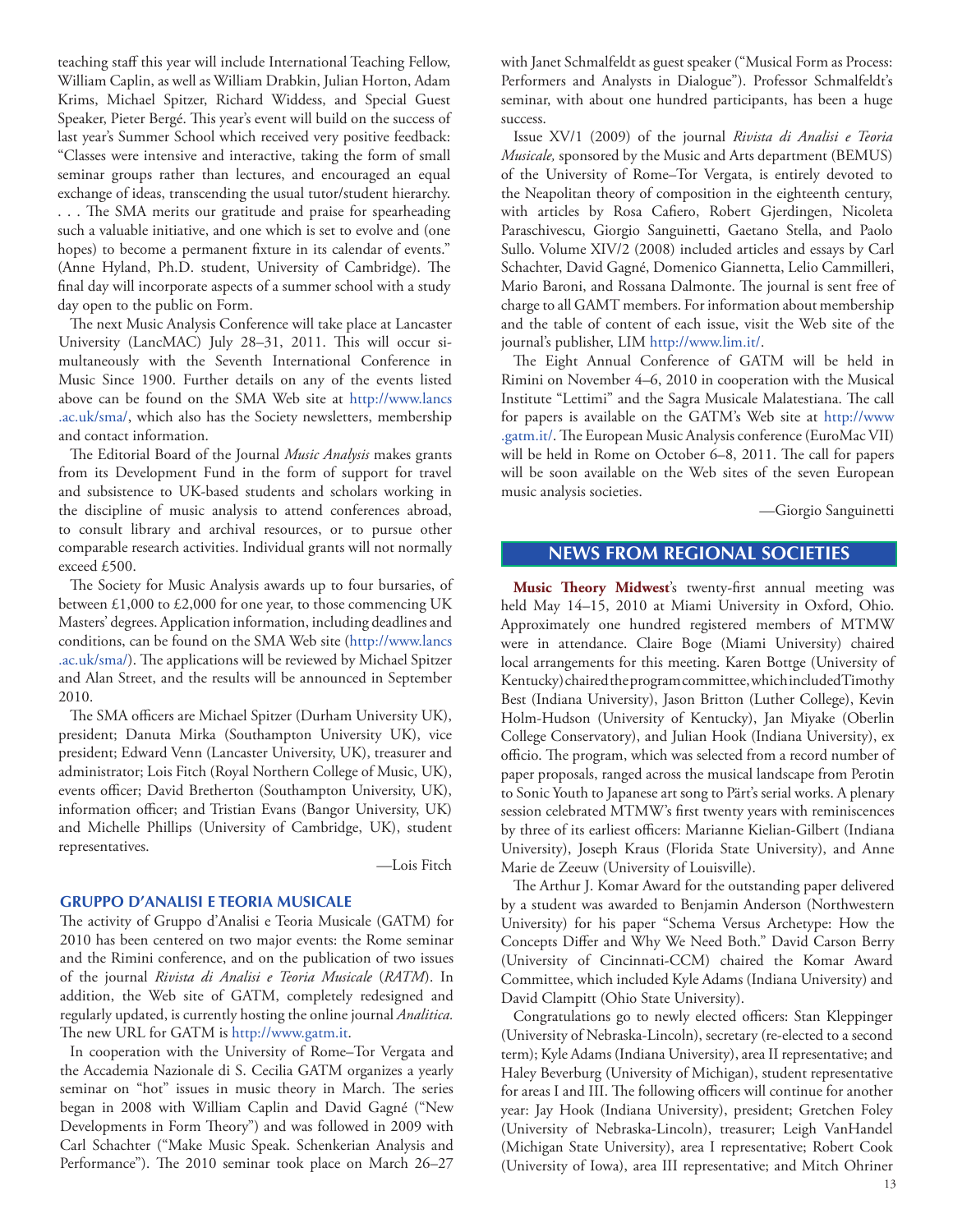<span id="page-12-0"></span>teaching staff this year will include International Teaching Fellow, William Caplin, as well as William Drabkin, Julian Horton, Adam Krims, Michael Spitzer, Richard Widdess, and Special Guest Speaker, Pieter Bergé. This year's event will build on the success of last year's Summer School which received very positive feedback: "Classes were intensive and interactive, taking the form of small seminar groups rather than lectures, and encouraged an equal exchange of ideas, transcending the usual tutor/student hierarchy. . . . The SMA merits our gratitude and praise for spearheading such a valuable initiative, and one which is set to evolve and (one hopes) to become a permanent fixture in its calendar of events." (Anne Hyland, Ph.D. student, University of Cambridge). The final day will incorporate aspects of a summer school with a study day open to the public on Form.

The next Music Analysis Conference will take place at Lancaster University (LancMAC) July 28–31, 2011. This will occur simultaneously with the Seventh International Conference in Music Since 1900. Further details on any of the events listed above can be found on the SMA Web site at [http://www.lancs](http://www.lancs.ac.uk/sma/) [.ac.uk/sma/](http://www.lancs.ac.uk/sma/), which also has the Society newsletters, membership and contact information.

The Editorial Board of the Journal *Music Analysis* makes grants from its Development Fund in the form of support for travel and subsistence to UK-based students and scholars working in the discipline of music analysis to attend conferences abroad, to consult library and archival resources, or to pursue other comparable research activities. Individual grants will not normally exceed £500.

The Society for Music Analysis awards up to four bursaries, of between £1,000 to £2,000 for one year, to those commencing UK Masters' degrees. Application information, including deadlines and conditions, can be found on the SMA Web site (http://www.lancs .ac.uk/sma/). The applications will be reviewed by Michael Spitzer and Alan Street, and the results will be announced in September 2010.

The SMA officers are Michael Spitzer (Durham University UK), president; Danuta Mirka (Southampton University UK), vice president; Edward Venn (Lancaster University, UK), treasurer and administrator; Lois Fitch (Royal Northern College of Music, UK), events officer; David Bretherton (Southampton University, UK), information officer; and Tristian Evans (Bangor University, UK) and Michelle Phillips (University of Cambridge, UK), student representatives.

—Lois Fitch

## **GRUPPO D'ANALISI E TEORIA MUSICALE**

The activity of Gruppo d'Analisi e Teoria Musicale (GATM) for 2010 has been centered on two major events: the Rome seminar and the Rimini conference, and on the publication of two issues of the journal *Rivista di Analisi e Teoria Musicale* (*RATM*). In addition, the Web site of GATM, completely redesigned and regularly updated, is currently hosting the online journal *Analitica.* The new URL for GATM is [http://www.gatm.it.](http://www.gatm.it)

In cooperation with the University of Rome–Tor Vergata and the Accademia Nazionale di S. Cecilia GATM organizes a yearly seminar on "hot" issues in music theory in March. The series began in 2008 with William Caplin and David Gagné ("New Developments in Form Theory") and was followed in 2009 with Carl Schachter ("Make Music Speak. Schenkerian Analysis and Performance"). The 2010 seminar took place on March 26–27

with Janet Schmalfeldt as guest speaker ("Musical Form as Process: Performers and Analysts in Dialogue"). Professor Schmalfeldt's seminar, with about one hundred participants, has been a huge success.

Issue XV/1 (2009) of the journal *Rivista di Analisi e Teoria Musicale,* sponsored by the Music and Arts department (BEMUS) of the University of Rome–Tor Vergata, is entirely devoted to the Neapolitan theory of composition in the eighteenth century, with articles by Rosa Cafiero, Robert Gjerdingen, Nicoleta Paraschivescu, Giorgio Sanguinetti, Gaetano Stella, and Paolo Sullo. Volume XIV/2 (2008) included articles and essays by Carl Schachter, David Gagné, Domenico Giannetta, Lelio Cammilleri, Mario Baroni, and Rossana Dalmonte. The journal is sent free of charge to all GAMT members. For information about membership and the table of content of each issue, visit the Web site of the journal's publisher, LIM [http://www.lim.it/.](http://www.lim.it/)

The Eight Annual Conference of GATM will be held in Rimini on November 4–6, 2010 in cooperation with the Musical Institute "Lettimi" and the Sagra Musicale Malatestiana. The call for papers is available on the GATM's Web site at [http://www](http://www.gatm.it/) [.gatm.it/](http://www.gatm.it/). The European Music Analysis conference (EuroMac VII) will be held in Rome on October 6–8, 2011. The call for papers will be soon available on the Web sites of the seven European music analysis societies.

—Giorgio Sanguinetti

# **NEWS FROM REGIONAL SOCIETIES**

**Music Theory Midwest**'s twenty-first annual meeting was held May 14–15, 2010 at Miami University in Oxford, Ohio. Approximately one hundred registered members of MTMW were in attendance. Claire Boge (Miami University) chaired local arrangements for this meeting. Karen Bottge (University of Kentucky) chaired the program committee, which included Timothy Best (Indiana University), Jason Britton (Luther College), Kevin Holm-Hudson (University of Kentucky), Jan Miyake (Oberlin College Conservatory), and Julian Hook (Indiana University), ex officio. The program, which was selected from a record number of paper proposals, ranged across the musical landscape from Perotin to Sonic Youth to Japanese art song to Pärt's serial works. A plenary session celebrated MTMW's first twenty years with reminiscences by three of its earliest officers: Marianne Kielian-Gilbert (Indiana University), Joseph Kraus (Florida State University), and Anne Marie de Zeeuw (University of Louisville).

The Arthur J. Komar Award for the outstanding paper delivered by a student was awarded to Benjamin Anderson (Northwestern University) for his paper "Schema Versus Archetype: How the Concepts Differ and Why We Need Both." David Carson Berry (University of Cincinnati-CCM) chaired the Komar Award Committee, which included Kyle Adams (Indiana University) and David Clampitt (Ohio State University).

Congratulations go to newly elected officers: Stan Kleppinger (University of Nebraska-Lincoln), secretary (re-elected to a second term); Kyle Adams (Indiana University), area II representative; and Haley Beverburg (University of Michigan), student representative for areas I and III. The following officers will continue for another year: Jay Hook (Indiana University), president; Gretchen Foley (University of Nebraska-Lincoln), treasurer; Leigh VanHandel (Michigan State University), area I representative; Robert Cook (University of Iowa), area III representative; and Mitch Ohriner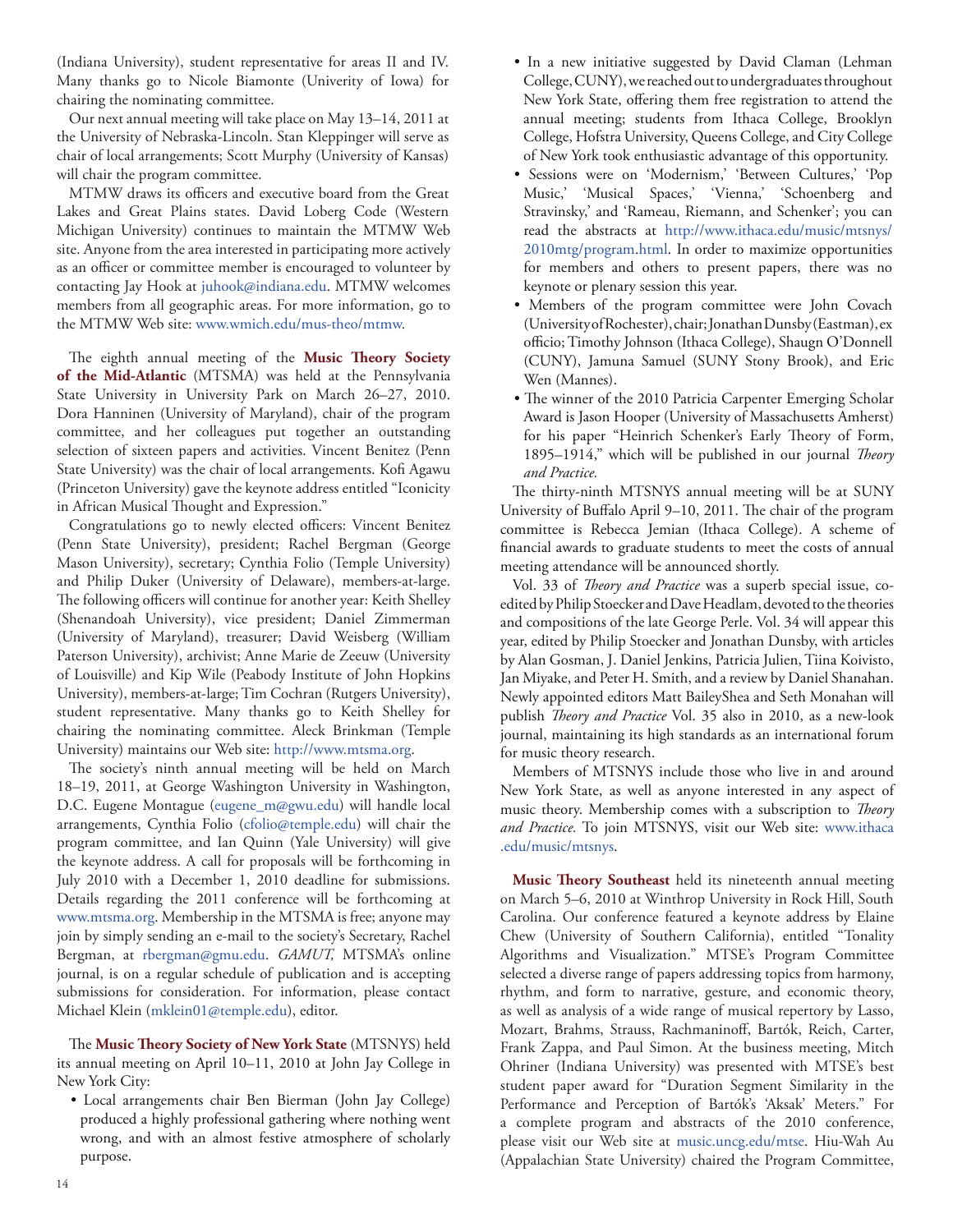(Indiana University), student representative for areas II and IV. Many thanks go to Nicole Biamonte (Univerity of Iowa) for chairing the nominating committee.

Our next annual meeting will take place on May 13–14, 2011 at the University of Nebraska-Lincoln. Stan Kleppinger will serve as chair of local arrangements; Scott Murphy (University of Kansas) will chair the program committee.

MTMW draws its officers and executive board from the Great Lakes and Great Plains states. David Loberg Code (Western Michigan University) continues to maintain the MTMW Web site. Anyone from the area interested in participating more actively as an officer or committee member is encouraged to volunteer by contacting Jay Hook at [juhook@indiana.edu.](mailto:juhook@indiana.edu) MTMW welcomes members from all geographic areas. For more information, go to the MTMW Web site: [www.wmich.edu/mus-theo/mtmw.](http://www.wmich.edu/mus-theo/mtmw)

The eighth annual meeting of the **Music Theory Society of the Mid-Atlantic** (MTSMA) was held at the Pennsylvania State University in University Park on March 26–27, 2010. Dora Hanninen (University of Maryland), chair of the program committee, and her colleagues put together an outstanding selection of sixteen papers and activities. Vincent Benitez (Penn State University) was the chair of local arrangements. Kofi Agawu (Princeton University) gave the keynote address entitled "Iconicity in African Musical Thought and Expression."

Congratulations go to newly elected officers: Vincent Benitez (Penn State University), president; Rachel Bergman (George Mason University), secretary; Cynthia Folio (Temple University) and Philip Duker (University of Delaware), members-at-large. The following officers will continue for another year: Keith Shelley (Shenandoah University), vice president; Daniel Zimmerman (University of Maryland), treasurer; David Weisberg (William Paterson University), archivist; Anne Marie de Zeeuw (University of Louisville) and Kip Wile (Peabody Institute of John Hopkins University), members-at-large; Tim Cochran (Rutgers University), student representative. Many thanks go to Keith Shelley for chairing the nominating committee. Aleck Brinkman (Temple University) maintains our Web site:<http://www.mtsma.org>.

The society's ninth annual meeting will be held on March 18–19, 2011, at George Washington University in Washington, D.C. Eugene Montague ([eugene\\_m@gwu.edu\)](mailto:eugene_m@gwu.edu) will handle local arrangements, Cynthia Folio ([cfolio@temple.edu](mailto:cfolio@temple.edu)) will chair the program committee, and Ian Quinn (Yale University) will give the keynote address. A call for proposals will be forthcoming in July 2010 with a December 1, 2010 deadline for submissions. Details regarding the 2011 conference will be forthcoming at www.mtsma.org. Membership in the MTSMA is free; anyone may join by simply sending an e-mail to the society's Secretary, Rachel Bergman, at [rbergman@gmu.edu](mailto:rbergman@gmu.edu). *GAMUT,* MTSMA's online journal, is on a regular schedule of publication and is accepting submissions for consideration. For information, please contact Michael Klein ([mklein01@temple.edu\)](mailto:mklein01@temple.edu), editor.

The **Music Theory Society of New York State** (MTSNYS) held its annual meeting on April 10–11, 2010 at John Jay College in New York City:

• Local arrangements chair Ben Bierman (John Jay College) produced a highly professional gathering where nothing went wrong, and with an almost festive atmosphere of scholarly purpose.

- In a new initiative suggested by David Claman (Lehman College, CUNY), we reached out to undergraduates throughout New York State, offering them free registration to attend the annual meeting; students from Ithaca College, Brooklyn College, Hofstra University, Queens College, and City College of New York took enthusiastic advantage of this opportunity.
- Sessions were on 'Modernism,' 'Between Cultures,' 'Pop Music,' 'Musical Spaces,' 'Vienna,' 'Schoenberg and Stravinsky,' and 'Rameau, Riemann, and Schenker'; you can read the abstracts at [http://www.ithaca.edu/music/mtsnys/](http://www.ithaca.edu/music/mtsnys/2010mtg/program.html) [2010mtg/program.html](http://www.ithaca.edu/music/mtsnys/2010mtg/program.html). In order to maximize opportunities for members and others to present papers, there was no keynote or plenary session this year.
- Members of the program committee were John Covach (University of Rochester), chair; Jonathan Dunsby (Eastman), ex officio; Timothy Johnson (Ithaca College), Shaugn O'Donnell (CUNY), Jamuna Samuel (SUNY Stony Brook), and Eric Wen (Mannes).
- The winner of the 2010 Patricia Carpenter Emerging Scholar Award is Jason Hooper (University of Massachusetts Amherst) for his paper "Heinrich Schenker's Early Theory of Form, 1895–1914," which will be published in our journal *Theory and Practice.*

The thirty-ninth MTSNYS annual meeting will be at SUNY University of Buffalo April 9–10, 2011. The chair of the program committee is Rebecca Jemian (Ithaca College). A scheme of financial awards to graduate students to meet the costs of annual meeting attendance will be announced shortly.

Vol. 33 of *Theory and Practice* was a superb special issue, coedited by Philip Stoecker and Dave Headlam, devoted to the theories and compositions of the late George Perle. Vol. 34 will appear this year, edited by Philip Stoecker and Jonathan Dunsby, with articles by Alan Gosman, J. Daniel Jenkins, Patricia Julien, Tiina Koivisto, Jan Miyake, and Peter H. Smith, and a review by Daniel Shanahan. Newly appointed editors Matt BaileyShea and Seth Monahan will publish *Theory and Practice* Vol. 35 also in 2010, as a new-look journal, maintaining its high standards as an international forum for music theory research.

Members of MTSNYS include those who live in and around New York State, as well as anyone interested in any aspect of music theory. Membership comes with a subscription to *Theory and Practice.* To join MTSNYS, visit our Web site: [www.ithaca](http://www.ithaca.edu/music/mtsnys) [.edu/music/mtsnys.](http://www.ithaca.edu/music/mtsnys)

**Music Theory Southeast** held its nineteenth annual meeting on March 5–6, 2010 at Winthrop University in Rock Hill, South Carolina. Our conference featured a keynote address by Elaine Chew (University of Southern California), entitled "Tonality Algorithms and Visualization." MTSE's Program Committee selected a diverse range of papers addressing topics from harmony, rhythm, and form to narrative, gesture, and economic theory, as well as analysis of a wide range of musical repertory by Lasso, Mozart, Brahms, Strauss, Rachmaninoff, Bartók, Reich, Carter, Frank Zappa, and Paul Simon. At the business meeting, Mitch Ohriner (Indiana University) was presented with MTSE's best student paper award for "Duration Segment Similarity in the Performance and Perception of Bartók's 'Aksak' Meters." For a complete program and abstracts of the 2010 conference, please visit our Web site at [music.uncg.edu/mtse.](http://music.uncg.edu/mtse) Hiu-Wah Au (Appalachian State University) chaired the Program Committee,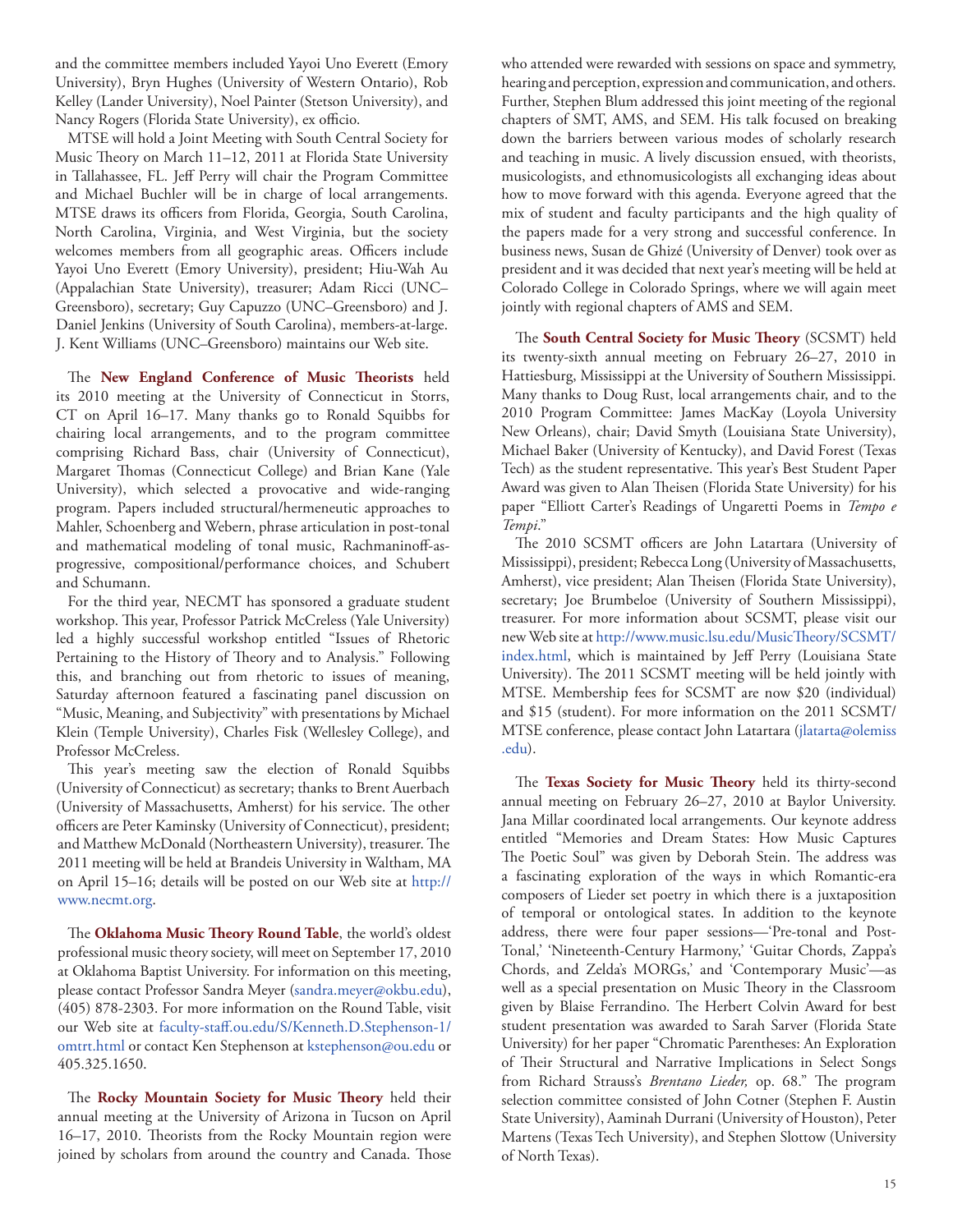and the committee members included Yayoi Uno Everett (Emory University), Bryn Hughes (University of Western Ontario), Rob Kelley (Lander University), Noel Painter (Stetson University), and Nancy Rogers (Florida State University), ex officio.

MTSE will hold a Joint Meeting with South Central Society for Music Theory on March 11–12, 2011 at Florida State University in Tallahassee, FL. Jeff Perry will chair the Program Committee and Michael Buchler will be in charge of local arrangements. MTSE draws its officers from Florida, Georgia, South Carolina, North Carolina, Virginia, and West Virginia, but the society welcomes members from all geographic areas. Officers include Yayoi Uno Everett (Emory University), president; Hiu-Wah Au (Appalachian State University), treasurer; Adam Ricci (UNC– Greensboro), secretary; Guy Capuzzo (UNC–Greensboro) and J. Daniel Jenkins (University of South Carolina), members-at-large. J. Kent Williams (UNC–Greensboro) maintains our Web site.

The **New England Conference of Music Theorists** held its 2010 meeting at the University of Connecticut in Storrs, CT on April 16–17. Many thanks go to Ronald Squibbs for chairing local arrangements, and to the program committee comprising Richard Bass, chair (University of Connecticut), Margaret Thomas (Connecticut College) and Brian Kane (Yale University), which selected a provocative and wide-ranging program. Papers included structural/hermeneutic approaches to Mahler, Schoenberg and Webern, phrase articulation in post-tonal and mathematical modeling of tonal music, Rachmaninoff-asprogressive, compositional/performance choices, and Schubert and Schumann.

For the third year, NECMT has sponsored a graduate student workshop. This year, Professor Patrick McCreless (Yale University) led a highly successful workshop entitled "Issues of Rhetoric Pertaining to the History of Theory and to Analysis." Following this, and branching out from rhetoric to issues of meaning, Saturday afternoon featured a fascinating panel discussion on "Music, Meaning, and Subjectivity" with presentations by Michael Klein (Temple University), Charles Fisk (Wellesley College), and Professor McCreless.

This year's meeting saw the election of Ronald Squibbs (University of Connecticut) as secretary; thanks to Brent Auerbach (University of Massachusetts, Amherst) for his service. The other officers are Peter Kaminsky (University of Connecticut), president; and Matthew McDonald (Northeastern University), treasurer. The 2011 meeting will be held at Brandeis University in Waltham, MA on April 15–16; details will be posted on our Web site at [http://](http://www.necmt.org) [www.necmt.org.](http://www.necmt.org)

The **Oklahoma Music Theory Round Table**, the world's oldest professional music theory society, will meet on September 17, 2010 at Oklahoma Baptist University. For information on this meeting, please contact Professor Sandra Meyer [\(sandra.meyer@okbu.edu](mailto:sandra.meyer@okbu.edu)), (405) 878-2303. For more information on the Round Table, visit our Web site at [faculty-staff.ou.edu/S/Kenneth.D.Stephenson-1/](http://faculty-staff.ou.edu/S/Kenneth.D.Stephenson-1/omtrt.html) [omtrt.html](http://faculty-staff.ou.edu/S/Kenneth.D.Stephenson-1/omtrt.html) or contact Ken Stephenson at [kstephenson@ou.edu](mailto:kstephenson@ou.edu) or 405.325.1650.

The **Rocky Mountain Society for Music Theory** held their annual meeting at the University of Arizona in Tucson on April 16–17, 2010. Theorists from the Rocky Mountain region were joined by scholars from around the country and Canada. Those who attended were rewarded with sessions on space and symmetry, hearing and perception, expression and communication, and others. Further, Stephen Blum addressed this joint meeting of the regional chapters of SMT, AMS, and SEM. His talk focused on breaking down the barriers between various modes of scholarly research and teaching in music. A lively discussion ensued, with theorists, musicologists, and ethnomusicologists all exchanging ideas about how to move forward with this agenda. Everyone agreed that the mix of student and faculty participants and the high quality of the papers made for a very strong and successful conference. In business news, Susan de Ghizé (University of Denver) took over as president and it was decided that next year's meeting will be held at Colorado College in Colorado Springs, where we will again meet jointly with regional chapters of AMS and SEM.

The **South Central Society for Music Theory** (SCSMT) held its twenty-sixth annual meeting on February 26–27, 2010 in Hattiesburg, Mississippi at the University of Southern Mississippi. Many thanks to Doug Rust, local arrangements chair, and to the 2010 Program Committee: James MacKay (Loyola University New Orleans), chair; David Smyth (Louisiana State University), Michael Baker (University of Kentucky), and David Forest (Texas Tech) as the student representative. This year's Best Student Paper Award was given to Alan Theisen (Florida State University) for his paper "Elliott Carter's Readings of Ungaretti Poems in *Tempo e Tempi*."

The 2010 SCSMT officers are John Latartara (University of Mississippi), president; Rebecca Long (University of Massachusetts, Amherst), vice president; Alan Theisen (Florida State University), secretary; Joe Brumbeloe (University of Southern Mississippi), treasurer. For more information about SCSMT, please visit our new Web site at [http://www.music.lsu.edu/MusicTheory/SCSMT/](http://www.music.lsu.edu/MusicTheory/SCSMT/index.html) [index.html,](http://www.music.lsu.edu/MusicTheory/SCSMT/index.html) which is maintained by Jeff Perry (Louisiana State University). The 2011 SCSMT meeting will be held jointly with MTSE. Membership fees for SCSMT are now \$20 (individual) and \$15 (student). For more information on the 2011 SCSMT/ MTSE conference, please contact John Latartara ([jlatarta@olemiss](mailto:jfboss@uoregon.edu) [.edu\)](mailto:jfboss@uoregon.edu).

The **Texas Society for Music Theory** held its thirty-second annual meeting on February 26–27, 2010 at Baylor University. Jana Millar coordinated local arrangements. Our keynote address entitled "Memories and Dream States: How Music Captures The Poetic Soul" was given by Deborah Stein. The address was a fascinating exploration of the ways in which Romantic-era composers of Lieder set poetry in which there is a juxtaposition of temporal or ontological states. In addition to the keynote address, there were four paper sessions—'Pre-tonal and Post-Tonal,' 'Nineteenth-Century Harmony,' 'Guitar Chords, Zappa's Chords, and Zelda's MORGs,' and 'Contemporary Music'—as well as a special presentation on Music Theory in the Classroom given by Blaise Ferrandino. The Herbert Colvin Award for best student presentation was awarded to Sarah Sarver (Florida State University) for her paper "Chromatic Parentheses: An Exploration of Their Structural and Narrative Implications in Select Songs from Richard Strauss's *Brentano Lieder,* op. 68." The program selection committee consisted of John Cotner (Stephen F. Austin State University), Aaminah Durrani (University of Houston), Peter Martens (Texas Tech University), and Stephen Slottow (University of North Texas).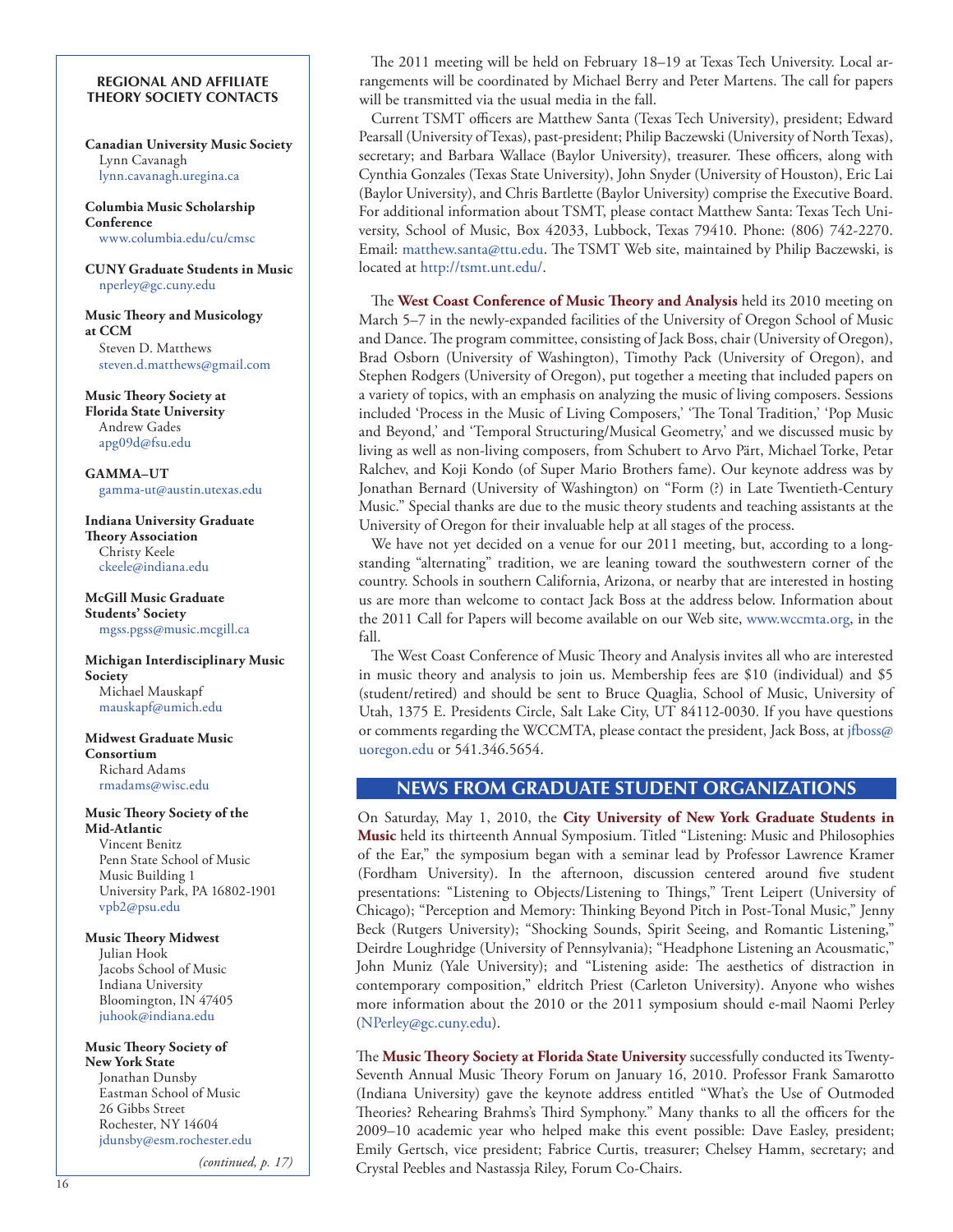#### <span id="page-15-0"></span>**REGIONAL AND AFFILIATE THEORY SOCIETY CONTACTS**

**Canadian University Music Society** Lynn Cavanagh l[ynn.cavanagh.uregina.ca](mailto:lynn.cavanagh.uregina.ca)

**Columbia Music Scholarship Conference** [www.columbia.edu/cu/cmsc](http://www.columbia.edu/cu/cmsc)

**CUNY Graduate Students in Music** [nperley@gc.cuny.edu](mailto:nperley.gc.cuny.edu)

**Music Theory and Musicology at CCM** Steven D. Matthews [steven.d.matthews@gmail.com](http:/mailto:steven.d.matthews@gmail.com)

**Music Theory Society at Florida State University** Andrew Gades apg09d@fsu.edu

**GAMMA–UT** [gamma-ut@austin.utexas.edu](mailto:gamma-ut@austin.utexas.edu)

**Indiana University Graduate Theory Association** Christy Keele [ckeele@indiana.edu](mailto:ckeele@indiana.edu)

**McGill Music Graduate Students' Society** [mgss.pgss@music.mcgill.ca](mailto:mgss.pgss@music.mcgill.ca)

**Michigan Interdisciplinary Music Society**  Michael Mauskapf mauskapf@umich.edu

**Midwest Graduate Music Consortium** Richard Adams [rmadams@wisc.edu](mailto:rmadams@wisc.edu)

#### **Music Theory Society of the Mid-Atlantic**

Vincent Benitz Penn State School of Music Music Building 1 University Park, PA 16802-1901 vpb[2@psu.edu](mailto:phillips@rider.edu)

**Music Theory Midwest** Julian Hook Jacobs School of Music Indiana University Bloomington, IN 47405 [juhook@indiana.edu](mailto:juhook@indiana.edu)

**Music Theory Society of New York State** Jonathan Dunsby Eastman School of Music 26 Gibbs Street Rochester, NY 14604 [jdunsby@esm.rochester.edu](mailto:jdunsby@esm.rochester.edu)

*(continued, p. 17)*

The 2011 meeting will be held on February 18–19 at Texas Tech University. Local arrangements will be coordinated by Michael Berry and Peter Martens. The call for papers will be transmitted via the usual media in the fall.

Current TSMT officers are Matthew Santa (Texas Tech University), president; Edward Pearsall (University of Texas), past-president; Philip Baczewski (University of North Texas), secretary; and Barbara Wallace (Baylor University), treasurer. These officers, along with Cynthia Gonzales (Texas State University), John Snyder (University of Houston), Eric Lai (Baylor University), and Chris Bartlette (Baylor University) comprise the Executive Board. For additional information about TSMT, please contact Matthew Santa: Texas Tech University, School of Music, Box 42033, Lubbock, Texas 79410. Phone: (806) 742-2270. Email: [matthew.santa@ttu.edu](mailto:jfboss@uoregon.edu). The TSMT Web site, maintained by Philip Baczewski, is located at [http://tsmt.unt.edu/.](http://tsmt.unt.edu/)

The **West Coast Conference of Music Theory and Analysis** held its 2010 meeting on March 5–7 in the newly-expanded facilities of the University of Oregon School of Music and Dance. The program committee, consisting of Jack Boss, chair (University of Oregon), Brad Osborn (University of Washington), Timothy Pack (University of Oregon), and Stephen Rodgers (University of Oregon), put together a meeting that included papers on a variety of topics, with an emphasis on analyzing the music of living composers. Sessions included 'Process in the Music of Living Composers,' 'The Tonal Tradition,' 'Pop Music and Beyond,' and 'Temporal Structuring/Musical Geometry,' and we discussed music by living as well as non-living composers, from Schubert to Arvo Pärt, Michael Torke, Petar Ralchev, and Koji Kondo (of Super Mario Brothers fame). Our keynote address was by Jonathan Bernard (University of Washington) on "Form (?) in Late Twentieth-Century Music." Special thanks are due to the music theory students and teaching assistants at the University of Oregon for their invaluable help at all stages of the process.

We have not yet decided on a venue for our 2011 meeting, but, according to a longstanding "alternating" tradition, we are leaning toward the southwestern corner of the country. Schools in southern California, Arizona, or nearby that are interested in hosting us are more than welcome to contact Jack Boss at the address below. Information about the 2011 Call for Papers will become available on our Web site, [www.wccmta.org](http://www.wccmta.org), in the fall.

The West Coast Conference of Music Theory and Analysis invites all who are interested in music theory and analysis to join us. Membership fees are \$10 (individual) and \$5 (student/retired) and should be sent to Bruce Quaglia, School of Music, University of Utah, 1375 E. Presidents Circle, Salt Lake City, UT 84112-0030. If you have questions or comments regarding the WCCMTA, please contact the president, Jack Boss, at [jfboss@](mailto:jfboss@uoregon.edu) [uoregon.edu](mailto:jfboss@uoregon.edu) or 541.346.5654.

# **NEWS FROM GRADUATE STUDENT ORGANIZATIONS**

On Saturday, May 1, 2010, the **City University of New York Graduate Students in Music** held its thirteenth Annual Symposium. Titled "Listening: Music and Philosophies of the Ear," the symposium began with a seminar lead by Professor Lawrence Kramer (Fordham University). In the afternoon, discussion centered around five student presentations: "Listening to Objects/Listening to Things," Trent Leipert (University of Chicago); "Perception and Memory: Thinking Beyond Pitch in Post-Tonal Music," Jenny Beck (Rutgers University); "Shocking Sounds, Spirit Seeing, and Romantic Listening," Deirdre Loughridge (University of Pennsylvania); "Headphone Listening an Acousmatic," John Muniz (Yale University); and "Listening aside: The aesthetics of distraction in contemporary composition," eldritch Priest (Carleton University). Anyone who wishes more information about the 2010 or the 2011 symposium should e-mail Naomi Perley [\(NPerley@gc.cuny.edu](mailto:NPerley@gc.cuny.edu)).

The **Music Theory Society at Florida State University** successfully conducted its Twenty-Seventh Annual Music Theory Forum on January 16, 2010. Professor Frank Samarotto (Indiana University) gave the keynote address entitled "What's the Use of Outmoded Theories? Rehearing Brahms's Third Symphony." Many thanks to all the officers for the 2009–10 academic year who helped make this event possible: Dave Easley, president; Emily Gertsch, vice president; Fabrice Curtis, treasurer; Chelsey Hamm, secretary; and Crystal Peebles and Nastassja Riley, Forum Co-Chairs.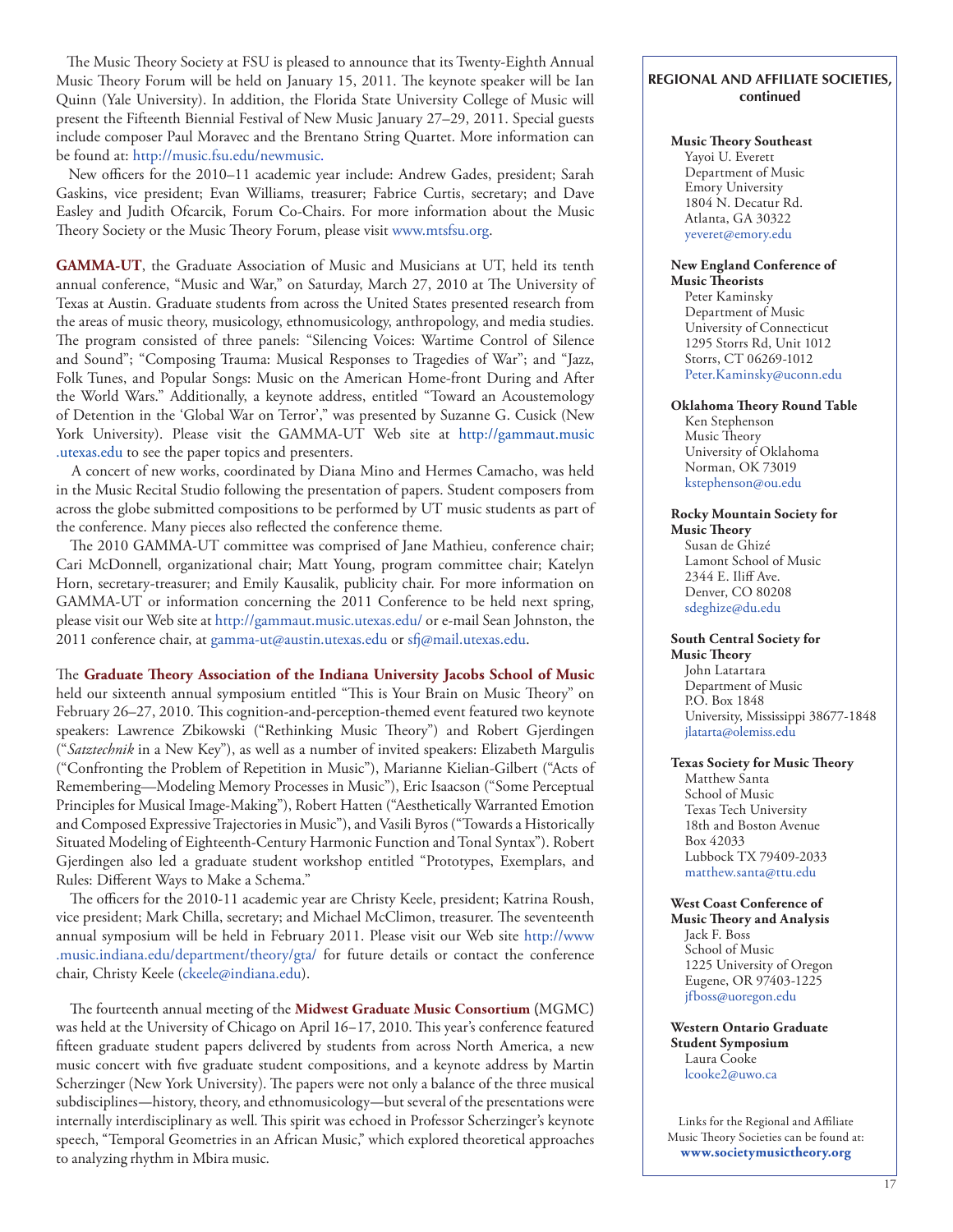The Music Theory Society at FSU is pleased to announce that its Twenty-Eighth Annual Music Theory Forum will be held on January 15, 2011. The keynote speaker will be Ian Quinn (Yale University). In addition, the Florida State University College of Music will present the Fifteenth Biennial Festival of New Music January 27–29, 2011. Special guests include composer Paul Moravec and the Brentano String Quartet. More information can be found at:<http://music.fsu.edu/newmusic.>

New officers for the 2010–11 academic year include: Andrew Gades, president; Sarah Gaskins, vice president; Evan Williams, treasurer; Fabrice Curtis, secretary; and Dave Easley and Judith Ofcarcik, Forum Co-Chairs. For more information about the Music Theory Society or the Music Theory Forum, please visit [www.mtsfsu.org](http://www.mtsfsu.org).

**GAMMA-UT**, the Graduate Association of Music and Musicians at UT, held its tenth annual conference, "Music and War," on Saturday, March 27, 2010 at The University of Texas at Austin. Graduate students from across the United States presented research from the areas of music theory, musicology, ethnomusicology, anthropology, and media studies. The program consisted of three panels: "Silencing Voices: Wartime Control of Silence and Sound"; "Composing Trauma: Musical Responses to Tragedies of War"; and "Jazz, Folk Tunes, and Popular Songs: Music on the American Home-front During and After the World Wars." Additionally, a keynote address, entitled "Toward an Acoustemology of Detention in the 'Global War on Terror'," was presented by Suzanne G. Cusick (New York University). Please visit the GAMMA-UT Web site at [http://gammaut.music](http://gammaut.music.utexas.edu) [.utexas.edu](http://gammaut.music.utexas.edu) to see the paper topics and presenters.

A concert of new works, coordinated by Diana Mino and Hermes Camacho, was held in the Music Recital Studio following the presentation of papers. Student composers from across the globe submitted compositions to be performed by UT music students as part of the conference. Many pieces also reflected the conference theme.

The 2010 GAMMA-UT committee was comprised of Jane Mathieu, conference chair; Cari McDonnell, organizational chair; Matt Young, program committee chair; Katelyn Horn, secretary-treasurer; and Emily Kausalik, publicity chair. For more information on GAMMA-UT or information concerning the 2011 Conference to be held next spring, please visit our Web site at<http://gammaut.music.utexas.edu/> or e-mail Sean Johnston, the 2011 conference chair, at [gamma-ut@austin.utexas.edu](mailto:gamma-ut@austin.utexas.edu) or [sfj@mail.utexas.edu](mailto:sfj@mail.utexas.edu).

The **Graduate Theory Association of the Indiana University Jacobs School of Music** held our sixteenth annual symposium entitled "This is Your Brain on Music Theory" on February 26–27, 2010. This cognition-and-perception-themed event featured two keynote speakers: Lawrence Zbikowski ("Rethinking Music Theory") and Robert Gjerdingen ("*Satztechnik* in a New Key"), as well as a number of invited speakers: Elizabeth Margulis ("Confronting the Problem of Repetition in Music"), Marianne Kielian-Gilbert ("Acts of Remembering—Modeling Memory Processes in Music"), Eric Isaacson ("Some Perceptual Principles for Musical Image-Making"), Robert Hatten ("Aesthetically Warranted Emotion and Composed Expressive Trajectories in Music"), and Vasili Byros ("Towards a Historically Situated Modeling of Eighteenth-Century Harmonic Function and Tonal Syntax"). Robert Gjerdingen also led a graduate student workshop entitled "Prototypes, Exemplars, and Rules: Different Ways to Make a Schema."

The officers for the 2010-11 academic year are Christy Keele, president; Katrina Roush, vice president; Mark Chilla, secretary; and Michael McClimon, treasurer. The seventeenth annual symposium will be held in February 2011. Please visit our Web site [http://www](http://www.music.indiana.edu/department/theory/gta/) [.music.indiana.edu/department/theory/gta/](http://www.music.indiana.edu/department/theory/gta/) for future details or contact the conference chair, Christy Keele [\(ckeele@indiana.edu\)](mailto:ckeele@indiana.edu).

The fourteenth annual meeting of the Midwest Graduate Music Consortium (MGMC) was held at the University of Chicago on April 16–17, 2010. This year's conference featured fifteen graduate student papers delivered by students from across North America, a new music concert with five graduate student compositions, and a keynote address by Martin Scherzinger (New York University). The papers were not only a balance of the three musical subdisciplines—history, theory, and ethnomusicology—but several of the presentations were internally interdisciplinary as well. This spirit was echoed in Professor Scherzinger's keynote speech, "Temporal Geometries in an African Music," which explored theoretical approaches to analyzing rhythm in Mbira music.

#### **REGIONAL AND AFFILIATE SOCIETIES, continued**

#### **Music Theory Southeast**

Yayoi U. Everett Department of Music Emory University 1804 N. Decatur Rd. Atlanta, GA 30322 yeveret[@emory.edu](mailto:yeveret@emory.edu)

#### **New England Conference of Music Theorists**

Peter Kaminsky Department of Music University of Connecticut 1295 Storrs Rd, Unit 1012 Storrs, CT 06269-1012 [Peter.Kaminsky@uconn.edu](mailto:Peter.Kaminsky@uconn.edu)

#### **Oklahoma Theory Round Table**

Ken Stephenson Music Theory University of Oklahoma Norman, OK 73019 [kstephenson@ou.edu](mailto:kstephenson@ou.edu)

#### **Rocky Mountain Society for**

**Music Theory** Susan de Ghizé Lamont School of Music 2344 E. Iliff Ave. Denver, CO 80208 [sdeghize@du.edu](mailto:sdeghize@du.edu)

#### **South Central Society for**

**Music Theory** John Latartara Department of Music P.O. Box 1848 University, Mississippi 38677-1848 [jlatarta@olemiss.edu](mailto:jlatarta@olemiss.edu)

#### **Texas Society for Music Theory**

Matthew Santa School of Music Texas Tech University 18th and Boston Avenue Box 42033 Lubbock TX 79409-2033 [matthew.santa@ttu.edu](mailto:matthew.santa@ttu.edu)

#### **West Coast Conference of**

**Music Theory and Analysis** Jack F. Boss School of Music 1225 University of Oregon Eugene, OR 97403-1225 [jfboss@uoregon.edu](mailto:jfboss@uoregon.edu)

#### **Western Ontario Graduate Student Symposium** Laura Cooke [lcooke2@uwo.ca](mailto:lcooke2@uwo.ca)

Links for the Regional and Affiliate Music Theory Societies can be found at: **[www.societymusictheory.org](http://societymusictheory.org)**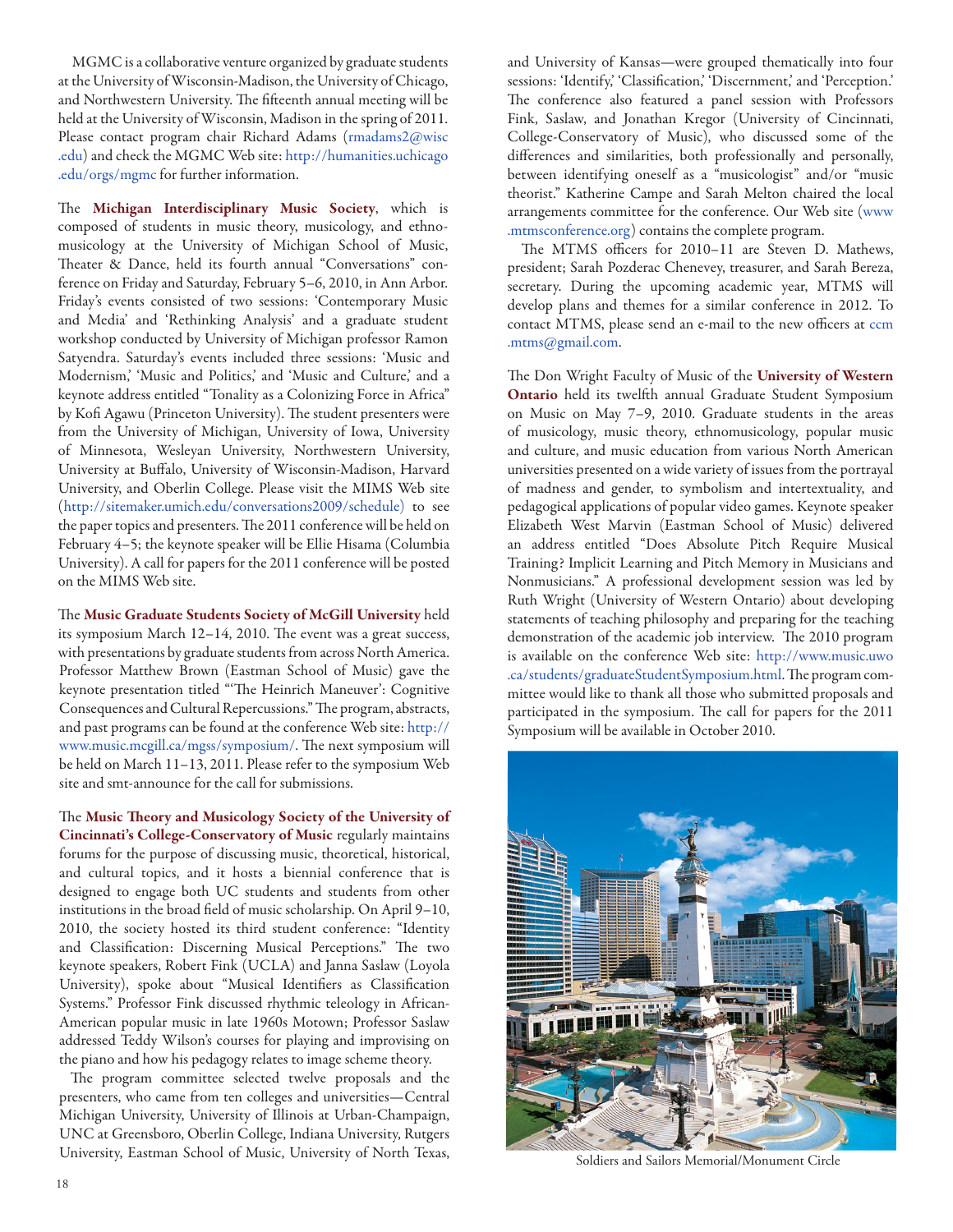MGMC is a collaborative venture organized by graduate students at the University of Wisconsin-Madison, the University of Chicago, and Northwestern University. The fifteenth annual meeting will be held at the University of Wisconsin, Madison in the spring of 2011. Please contact program chair Richard Adams ([rmadams2@wisc](mailto:rmadams2@wisc.edu) [.edu](mailto:rmadams2@wisc.edu)) and check the MGMC Web site: [http://humanities.uchicago](http://humanities.uchicago.edu/orgs/mgmc) [.edu/orgs/mgmc](http://humanities.uchicago.edu/orgs/mgmc) for further information.

The Michigan Interdisciplinary Music Society, which is composed of students in music theory, musicology, and ethnomusicology at the University of Michigan School of Music, Theater & Dance, held its fourth annual "Conversations" conference on Friday and Saturday, February 5–6, 2010, in Ann Arbor. Friday's events consisted of two sessions: 'Contemporary Music and Media' and 'Rethinking Analysis' and a graduate student workshop conducted by University of Michigan professor Ramon Satyendra. Saturday's events included three sessions: 'Music and Modernism,' 'Music and Politics,' and 'Music and Culture,' and a keynote address entitled "Tonality as a Colonizing Force in Africa" by Kofi Agawu (Princeton University). The student presenters were from the University of Michigan, University of Iowa, University of Minnesota, Wesleyan University, Northwestern University, University at Buffalo, University of Wisconsin-Madison, Harvard University, and Oberlin College. Please visit the MIMS Web site ([http://sitemaker.umich.edu/conversations2009/schedule\)](http://sitemaker.umich.edu/conversations2009/schedule) to see the paper topics and presenters. The 2011 conference will be held on February 4–5; the keynote speaker will be Ellie Hisama (Columbia University). A call for papers for the 2011 conference will be posted on the MIMS Web site.

The Music Graduate Students Society of McGill University held its symposium March 12–14, 2010. The event was a great success, with presentations by graduate students from across North America. Professor Matthew Brown (Eastman School of Music) gave the keynote presentation titled "'The Heinrich Maneuver': Cognitive Consequences and Cultural Repercussions." The program, abstracts, and past programs can be found at the conference Web site: [http://](http://www.music.mcgill.ca/mgss/symposium/) [www.music.mcgill.ca/mgss/symposium/.](http://www.music.mcgill.ca/mgss/symposium/) The next symposium will be held on March 11–13, 2011. Please refer to the symposium Web site and smt-announce for the call for submissions.

The Music Theory and Musicology Society of the University of Cincinnati's College-Conservatory of Music regularly maintains forums for the purpose of discussing music, theoretical, historical, and cultural topics, and it hosts a biennial conference that is designed to engage both UC students and students from other institutions in the broad field of music scholarship. On April 9–10, 2010, the society hosted its third student conference: "Identity and Classification: Discerning Musical Perceptions." The two keynote speakers, Robert Fink (UCLA) and Janna Saslaw (Loyola University), spoke about "Musical Identifiers as Classification Systems." Professor Fink discussed rhythmic teleology in African-American popular music in late 1960s Motown; Professor Saslaw addressed Teddy Wilson's courses for playing and improvising on the piano and how his pedagogy relates to image scheme theory.

The program committee selected twelve proposals and the presenters, who came from ten colleges and universities—Central Michigan University, University of Illinois at Urban-Champaign, UNC at Greensboro, Oberlin College, Indiana University, Rutgers University, Eastman School of Music, University of North Texas,

and University of Kansas—were grouped thematically into four sessions: 'Identify,' 'Classification,' 'Discernment,' and 'Perception.' The conference also featured a panel session with Professors Fink, Saslaw, and Jonathan Kregor (University of Cincinnati, College-Conservatory of Music), who discussed some of the differences and similarities, both professionally and personally, between identifying oneself as a "musicologist" and/or "music theorist." Katherine Campe and Sarah Melton chaired the local arrangements committee for the conference. Our Web site ([www](http://www.mtmsconference.org) [.mtmsconference.org](http://www.mtmsconference.org)) contains the complete program.

The MTMS officers for 2010–11 are Steven D. Mathews, president; Sarah Pozderac Chenevey, treasurer, and Sarah Bereza, secretary. During the upcoming academic year, MTMS will develop plans and themes for a similar conference in 2012. To contact MTMS, please send an e-mail to the new officers at [ccm](mailto:ccm.mtms@gmail.com) [.mtms@gmail.com.](mailto:ccm.mtms@gmail.com)

The Don Wright Faculty of Music of the University of Western Ontario held its twelfth annual Graduate Student Symposium on Music on May 7–9, 2010. Graduate students in the areas of musicology, music theory, ethnomusicology, popular music and culture, and music education from various North American universities presented on a wide variety of issues from the portrayal of madness and gender, to symbolism and intertextuality, and pedagogical applications of popular video games. Keynote speaker Elizabeth West Marvin (Eastman School of Music) delivered an address entitled "Does Absolute Pitch Require Musical Training? Implicit Learning and Pitch Memory in Musicians and Nonmusicians." A professional development session was led by Ruth Wright (University of Western Ontario) about developing statements of teaching philosophy and preparing for the teaching demonstration of the academic job interview. The 2010 program is available on the conference Web site: [http://www.music.uwo](http://www.music.uwo.ca/students/graduateStudentSymposium.html) [.ca/students/graduateStudentSymposium.html](http://www.music.uwo.ca/students/graduateStudentSymposium.html). The program committee would like to thank all those who submitted proposals and participated in the symposium. The call for papers for the 2011 Symposium will be available in October 2010.



Soldiers and Sailors Memorial/Monument Circle